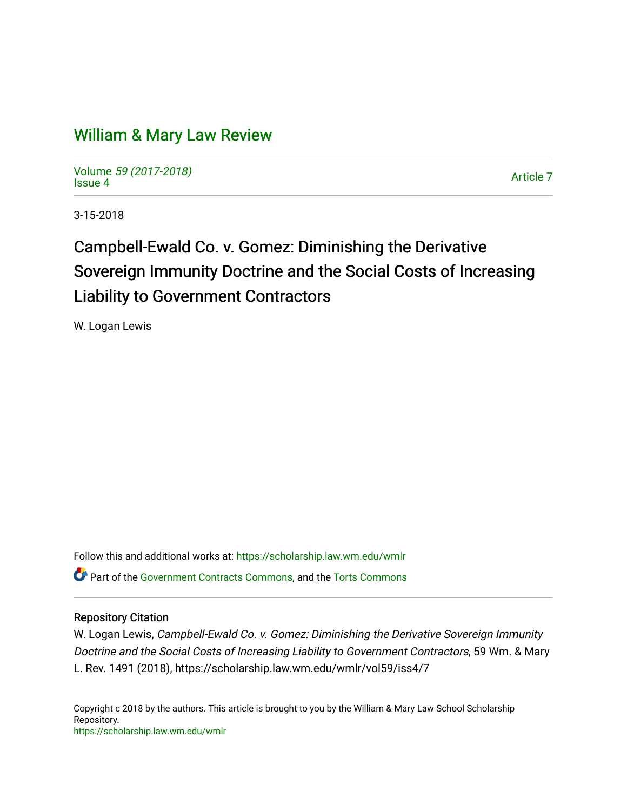# [William & Mary Law Review](https://scholarship.law.wm.edu/wmlr)

Volume [59 \(2017-2018\)](https://scholarship.law.wm.edu/wmlr/vol59)  volume 59 (2017-2010)<br>[Issue 4](https://scholarship.law.wm.edu/wmlr/vol59/iss4)

3-15-2018

# Campbell-Ewald Co. v. Gomez: Diminishing the Derivative Sovereign Immunity Doctrine and the Social Costs of Increasing Liability to Government Contractors

W. Logan Lewis

Follow this and additional works at: [https://scholarship.law.wm.edu/wmlr](https://scholarship.law.wm.edu/wmlr?utm_source=scholarship.law.wm.edu%2Fwmlr%2Fvol59%2Fiss4%2F7&utm_medium=PDF&utm_campaign=PDFCoverPages) **C** Part of the [Government Contracts Commons,](http://network.bepress.com/hgg/discipline/845?utm_source=scholarship.law.wm.edu%2Fwmlr%2Fvol59%2Fiss4%2F7&utm_medium=PDF&utm_campaign=PDFCoverPages) and the Torts Commons

# Repository Citation

W. Logan Lewis, Campbell-Ewald Co. v. Gomez: Diminishing the Derivative Sovereign Immunity Doctrine and the Social Costs of Increasing Liability to Government Contractors, 59 Wm. & Mary L. Rev. 1491 (2018), https://scholarship.law.wm.edu/wmlr/vol59/iss4/7

Copyright c 2018 by the authors. This article is brought to you by the William & Mary Law School Scholarship Repository. <https://scholarship.law.wm.edu/wmlr>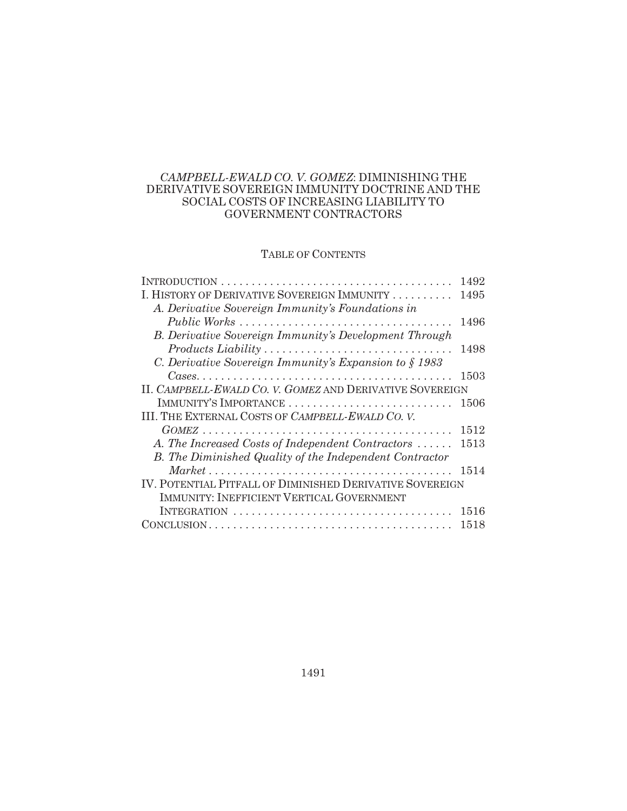# *CAMPBELL-EWALD CO. V. GOMEZ*: DIMINISHING THE DERIVATIVE SOVEREIGN IMMUNITY DOCTRINE AND THE SOCIAL COSTS OF INCREASING LIABILITY TO GOVERNMENT CONTRACTORS

# TABLE OF CONTENTS

|                                                           | 1492 |
|-----------------------------------------------------------|------|
| I. HISTORY OF DERIVATIVE SOVEREIGN IMMUNITY               | 1495 |
| A. Derivative Sovereign Immunity's Foundations in         |      |
|                                                           | 1496 |
| B. Derivative Sovereign Immunity's Development Through    |      |
| Products Liability                                        | 1498 |
| C. Derivative Sovereign Immunity's Expansion to $\S$ 1983 |      |
|                                                           | 1503 |
| II. CAMPBELL-EWALD CO. V. GOMEZ AND DERIVATIVE SOVEREIGN  |      |
| IMMUNITY'S IMPORTANCE                                     | 1506 |
| III. THE EXTERNAL COSTS OF CAMPBELL-EWALD CO. V.          |      |
|                                                           | 1512 |
| A. The Increased Costs of Independent Contractors         | 1513 |
| B. The Diminished Quality of the Independent Contractor   |      |
|                                                           | 1514 |
| IV. POTENTIAL PITFALL OF DIMINISHED DERIVATIVE SOVEREIGN  |      |
| IMMUNITY: INEFFICIENT VERTICAL GOVERNMENT                 |      |
| INTEGRATION                                               | 1516 |
|                                                           | 1518 |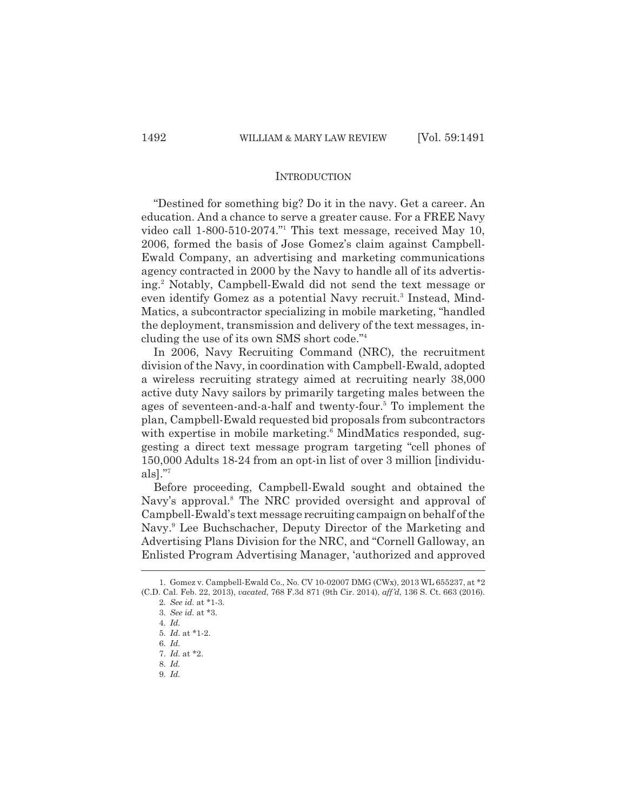#### **INTRODUCTION**

"Destined for something big? Do it in the navy. Get a career. An education. And a chance to serve a greater cause. For a FREE Navy video call 1-800-510-2074."1 This text message, received May 10, 2006, formed the basis of Jose Gomez's claim against Campbell-Ewald Company, an advertising and marketing communications agency contracted in 2000 by the Navy to handle all of its advertising.2 Notably, Campbell-Ewald did not send the text message or even identify Gomez as a potential Navy recruit.<sup>3</sup> Instead, Mind-Matics, a subcontractor specializing in mobile marketing, "handled the deployment, transmission and delivery of the text messages, including the use of its own SMS short code."4

In 2006, Navy Recruiting Command (NRC), the recruitment division of the Navy, in coordination with Campbell-Ewald, adopted a wireless recruiting strategy aimed at recruiting nearly 38,000 active duty Navy sailors by primarily targeting males between the ages of seventeen-and-a-half and twenty-four.<sup>5</sup> To implement the plan, Campbell-Ewald requested bid proposals from subcontractors with expertise in mobile marketing.<sup>6</sup> MindMatics responded, suggesting a direct text message program targeting "cell phones of 150,000 Adults 18-24 from an opt-in list of over 3 million [individuals]."7

Before proceeding, Campbell-Ewald sought and obtained the Navy's approval.<sup>8</sup> The NRC provided oversight and approval of Campbell-Ewald's text message recruiting campaign on behalf of the Navy.9 Lee Buchschacher, Deputy Director of the Marketing and Advertising Plans Division for the NRC, and "Cornell Galloway, an Enlisted Program Advertising Manager, 'authorized and approved

9. *Id.*

<sup>1.</sup> Gomez v. Campbell-Ewald Co., No. CV 10-02007 DMG (CWx), 2013 WL 655237, at \*2 (C.D. Cal. Feb. 22, 2013), *vacated*, 768 F.3d 871 (9th Cir. 2014), *aff'd*, 136 S. Ct. 663 (2016).

<sup>2.</sup> *See id.* at \*1-3.

<sup>3.</sup> *See id.* at \*3.

<sup>4.</sup> *Id.*

<sup>5.</sup> *Id.* at \*1-2.

<sup>6.</sup> *Id.*

<sup>7.</sup> *Id.* at \*2.

<sup>8.</sup> *Id.*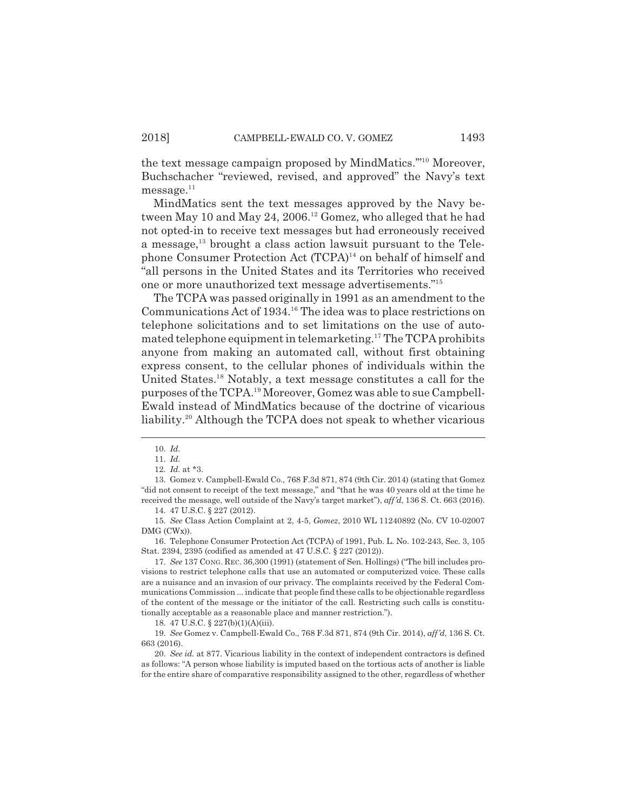the text message campaign proposed by MindMatics.'"10 Moreover, Buchschacher "reviewed, revised, and approved" the Navy's text  $message.<sup>11</sup>$ 

MindMatics sent the text messages approved by the Navy between May 10 and May 24, 2006.<sup>12</sup> Gomez, who alleged that he had not opted-in to receive text messages but had erroneously received a message, $^{13}$  brought a class action lawsuit pursuant to the Telephone Consumer Protection Act (TCPA)<sup>14</sup> on behalf of himself and "all persons in the United States and its Territories who received one or more unauthorized text message advertisements."15

The TCPA was passed originally in 1991 as an amendment to the Communications Act of 1934.16 The idea was to place restrictions on telephone solicitations and to set limitations on the use of automated telephone equipment in telemarketing.17 The TCPA prohibits anyone from making an automated call, without first obtaining express consent, to the cellular phones of individuals within the United States.<sup>18</sup> Notably, a text message constitutes a call for the purposes of the TCPA.19 Moreover, Gomez was able to sue Campbell-Ewald instead of MindMatics because of the doctrine of vicarious liability.<sup>20</sup> Although the TCPA does not speak to whether vicarious

14. 47 U.S.C. § 227 (2012).

15. *See* Class Action Complaint at 2, 4-5, *Gomez*, 2010 WL 11240892 (No. CV 10-02007 DMG (CWx)).

16. Telephone Consumer Protection Act (TCPA) of 1991, Pub. L. No. 102-243, Sec. 3, 105 Stat. 2394, 2395 (codified as amended at 47 U.S.C. § 227 (2012)).

17. *See* 137 CONG. REC. 36,300 (1991) (statement of Sen. Hollings) ("The bill includes provisions to restrict telephone calls that use an automated or computerized voice. These calls are a nuisance and an invasion of our privacy. The complaints received by the Federal Communications Commission ... indicate that people find these calls to be objectionable regardless of the content of the message or the initiator of the call. Restricting such calls is constitutionally acceptable as a reasonable place and manner restriction.").

18. 47 U.S.C. § 227(b)(1)(A)(iii).

19. *See* Gomez v. Campbell-Ewald Co., 768 F.3d 871, 874 (9th Cir. 2014), *aff'd*, 136 S. Ct. 663 (2016).

20. *See id.* at 877. Vicarious liability in the context of independent contractors is defined as follows: "A person whose liability is imputed based on the tortious acts of another is liable for the entire share of comparative responsibility assigned to the other, regardless of whether

<sup>10.</sup> *Id.*

<sup>11.</sup> *Id.*

<sup>12.</sup> *Id.* at \*3.

<sup>13.</sup> Gomez v. Campbell-Ewald Co., 768 F.3d 871, 874 (9th Cir. 2014) (stating that Gomez "did not consent to receipt of the text message," and "that he was 40 years old at the time he received the message, well outside of the Navy's target market"), *aff'd*, 136 S. Ct. 663 (2016).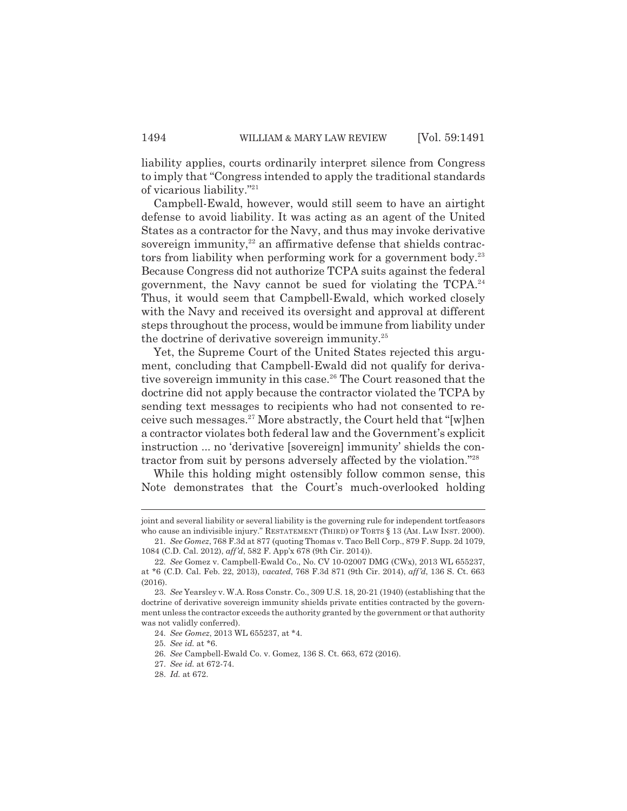liability applies, courts ordinarily interpret silence from Congress to imply that "Congress intended to apply the traditional standards of vicarious liability."21

Campbell-Ewald, however, would still seem to have an airtight defense to avoid liability. It was acting as an agent of the United States as a contractor for the Navy, and thus may invoke derivative sovereign immunity, $22$  an affirmative defense that shields contractors from liability when performing work for a government body.<sup>23</sup> Because Congress did not authorize TCPA suits against the federal government, the Navy cannot be sued for violating the  $TCPA<sup>24</sup>$ Thus, it would seem that Campbell-Ewald, which worked closely with the Navy and received its oversight and approval at different steps throughout the process, would be immune from liability under the doctrine of derivative sovereign immunity.25

Yet, the Supreme Court of the United States rejected this argument, concluding that Campbell-Ewald did not qualify for derivative sovereign immunity in this case.<sup>26</sup> The Court reasoned that the doctrine did not apply because the contractor violated the TCPA by sending text messages to recipients who had not consented to receive such messages.27 More abstractly, the Court held that "[w]hen a contractor violates both federal law and the Government's explicit instruction ... no 'derivative [sovereign] immunity' shields the contractor from suit by persons adversely affected by the violation."28

While this holding might ostensibly follow common sense, this Note demonstrates that the Court's much-overlooked holding

joint and several liability or several liability is the governing rule for independent tortfeasors who cause an indivisible injury." RESTATEMENT (THIRD) OF TORTS § 13 (AM. LAW INST. 2000).

<sup>21.</sup> *See Gomez*, 768 F.3d at 877 (quoting Thomas v. Taco Bell Corp., 879 F. Supp. 2d 1079, 1084 (C.D. Cal. 2012), *aff'd*, 582 F. App'x 678 (9th Cir. 2014)).

<sup>22.</sup> *See* Gomez v. Campbell-Ewald Co., No. CV 10-02007 DMG (CWx), 2013 WL 655237, at \*6 (C.D. Cal. Feb. 22, 2013), *vacated*, 768 F.3d 871 (9th Cir. 2014), *aff'd*, 136 S. Ct. 663 (2016).

<sup>23.</sup> *See* Yearsley v. W.A. Ross Constr. Co., 309 U.S. 18, 20-21 (1940) (establishing that the doctrine of derivative sovereign immunity shields private entities contracted by the government unless the contractor exceeds the authority granted by the government or that authority was not validly conferred).

<sup>24.</sup> *See Gomez*, 2013 WL 655237, at \*4.

<sup>25.</sup> *See id.* at \*6.

<sup>26.</sup> *See* Campbell-Ewald Co. v. Gomez, 136 S. Ct. 663, 672 (2016).

<sup>27.</sup> *See id.* at 672-74.

<sup>28.</sup> *Id.* at 672.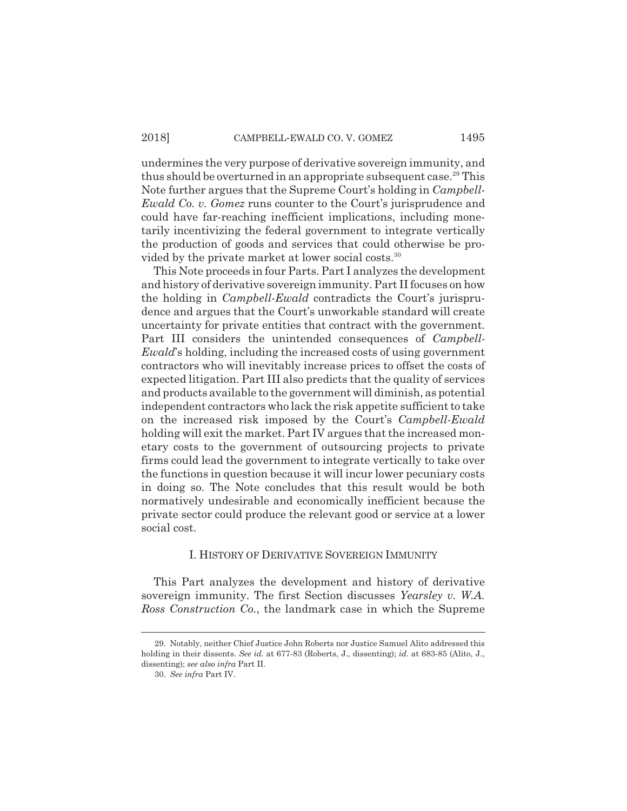undermines the very purpose of derivative sovereign immunity, and thus should be overturned in an appropriate subsequent case.<sup>29</sup> This Note further argues that the Supreme Court's holding in *Campbell-Ewald Co. v. Gomez* runs counter to the Court's jurisprudence and could have far-reaching inefficient implications, including monetarily incentivizing the federal government to integrate vertically the production of goods and services that could otherwise be provided by the private market at lower social costs.<sup>30</sup>

This Note proceeds in four Parts. Part I analyzes the development and history of derivative sovereign immunity. Part II focuses on how the holding in *Campbell-Ewald* contradicts the Court's jurisprudence and argues that the Court's unworkable standard will create uncertainty for private entities that contract with the government. Part III considers the unintended consequences of *Campbell-Ewald*'s holding, including the increased costs of using government contractors who will inevitably increase prices to offset the costs of expected litigation. Part III also predicts that the quality of services and products available to the government will diminish, as potential independent contractors who lack the risk appetite sufficient to take on the increased risk imposed by the Court's *Campbell-Ewald* holding will exit the market. Part IV argues that the increased monetary costs to the government of outsourcing projects to private firms could lead the government to integrate vertically to take over the functions in question because it will incur lower pecuniary costs in doing so. The Note concludes that this result would be both normatively undesirable and economically inefficient because the private sector could produce the relevant good or service at a lower social cost.

### I. HISTORY OF DERIVATIVE SOVEREIGN IMMUNITY

This Part analyzes the development and history of derivative sovereign immunity. The first Section discusses *Yearsley v. W.A. Ross Construction Co.*, the landmark case in which the Supreme

<sup>29.</sup> Notably, neither Chief Justice John Roberts nor Justice Samuel Alito addressed this holding in their dissents. *See id.* at 677-83 (Roberts, J., dissenting); *id.* at 683-85 (Alito, J., dissenting); *see also infra* Part II.

<sup>30.</sup> *See infra* Part IV.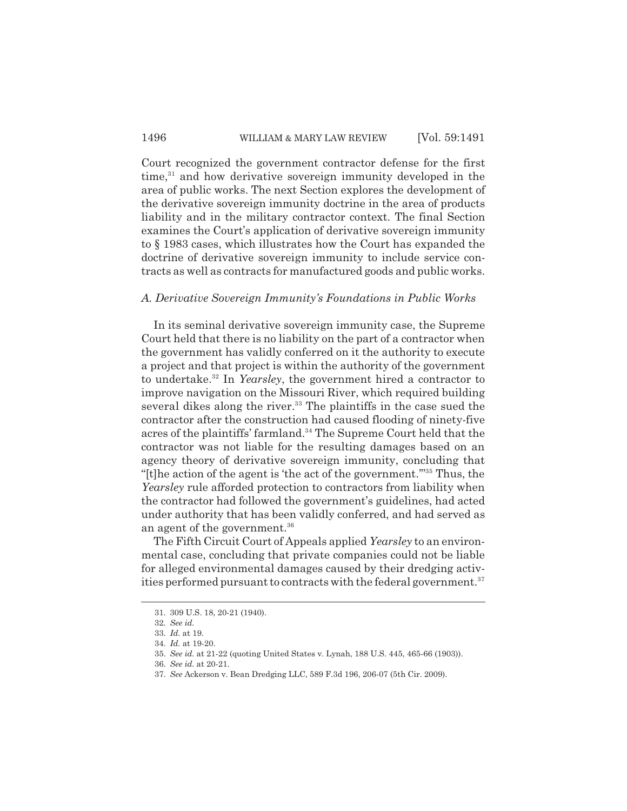Court recognized the government contractor defense for the first  $time<sup>31</sup>$  and how derivative sovereign immunity developed in the area of public works. The next Section explores the development of the derivative sovereign immunity doctrine in the area of products liability and in the military contractor context. The final Section examines the Court's application of derivative sovereign immunity to § 1983 cases, which illustrates how the Court has expanded the doctrine of derivative sovereign immunity to include service contracts as well as contracts for manufactured goods and public works.

### *A. Derivative Sovereign Immunity's Foundations in Public Works*

In its seminal derivative sovereign immunity case, the Supreme Court held that there is no liability on the part of a contractor when the government has validly conferred on it the authority to execute a project and that project is within the authority of the government to undertake.32 In *Yearsley*, the government hired a contractor to improve navigation on the Missouri River, which required building several dikes along the river.<sup>33</sup> The plaintiffs in the case sued the contractor after the construction had caused flooding of ninety-five acres of the plaintiffs' farmland.<sup>34</sup> The Supreme Court held that the contractor was not liable for the resulting damages based on an agency theory of derivative sovereign immunity, concluding that "[t]he action of the agent is 'the act of the government.'"35 Thus, the *Yearsley* rule afforded protection to contractors from liability when the contractor had followed the government's guidelines, had acted under authority that has been validly conferred, and had served as an agent of the government.<sup>36</sup>

The Fifth Circuit Court of Appeals applied *Yearsley* to an environmental case, concluding that private companies could not be liable for alleged environmental damages caused by their dredging activities performed pursuant to contracts with the federal government.<sup>37</sup>

<sup>31. 309</sup> U.S. 18, 20-21 (1940).

<sup>32.</sup> *See id.*

<sup>33.</sup> *Id.* at 19.

<sup>34.</sup> *Id.* at 19-20.

<sup>35.</sup> *See id.* at 21-22 (quoting United States v. Lynah, 188 U.S. 445, 465-66 (1903)).

<sup>36.</sup> *See id.* at 20-21.

<sup>37.</sup> *See* Ackerson v. Bean Dredging LLC, 589 F.3d 196, 206-07 (5th Cir. 2009).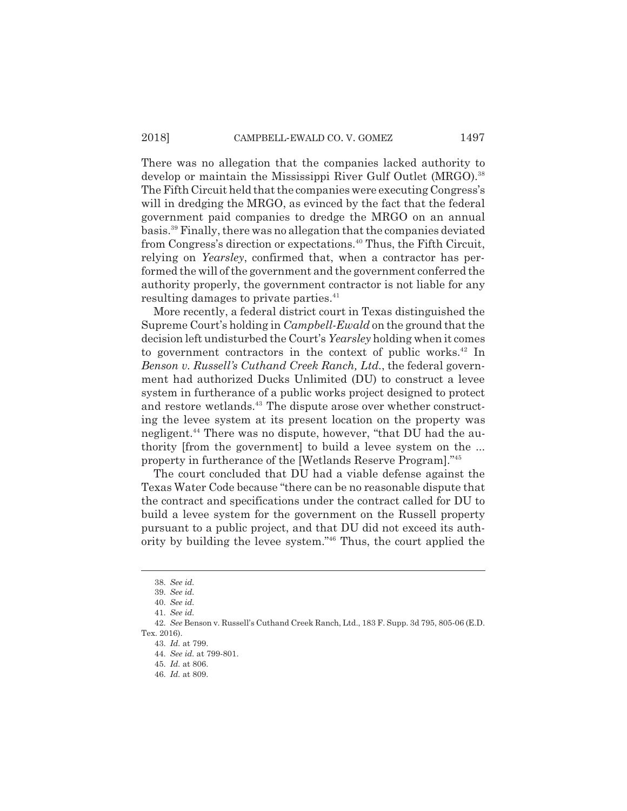There was no allegation that the companies lacked authority to develop or maintain the Mississippi River Gulf Outlet (MRGO).<sup>38</sup> The Fifth Circuit held that the companies were executing Congress's will in dredging the MRGO, as evinced by the fact that the federal government paid companies to dredge the MRGO on an annual basis.39 Finally, there was no allegation that the companies deviated from Congress's direction or expectations.<sup>40</sup> Thus, the Fifth Circuit, relying on *Yearsley*, confirmed that, when a contractor has performed the will of the government and the government conferred the authority properly, the government contractor is not liable for any resulting damages to private parties.<sup>41</sup>

More recently, a federal district court in Texas distinguished the Supreme Court's holding in *Campbell-Ewald* on the ground that the decision left undisturbed the Court's *Yearsley* holding when it comes to government contractors in the context of public works.<sup>42</sup> In *Benson v. Russell's Cuthand Creek Ranch, Ltd.*, the federal government had authorized Ducks Unlimited (DU) to construct a levee system in furtherance of a public works project designed to protect and restore wetlands.<sup>43</sup> The dispute arose over whether constructing the levee system at its present location on the property was negligent.<sup>44</sup> There was no dispute, however, "that DU had the authority [from the government] to build a levee system on the ... property in furtherance of the [Wetlands Reserve Program]."45

The court concluded that DU had a viable defense against the Texas Water Code because "there can be no reasonable dispute that the contract and specifications under the contract called for DU to build a levee system for the government on the Russell property pursuant to a public project, and that DU did not exceed its authority by building the levee system."46 Thus, the court applied the

46. *Id.* at 809.

<sup>38.</sup> *See id.*

<sup>39.</sup> *See id.*

<sup>40.</sup> *See id.*

<sup>41.</sup> *See id.*

<sup>42.</sup> *See* Benson v. Russell's Cuthand Creek Ranch, Ltd., 183 F. Supp. 3d 795, 805-06 (E.D. Tex. 2016).

<sup>43.</sup> *Id.* at 799.

<sup>44.</sup> *See id.* at 799-801.

<sup>45.</sup> *Id.* at 806.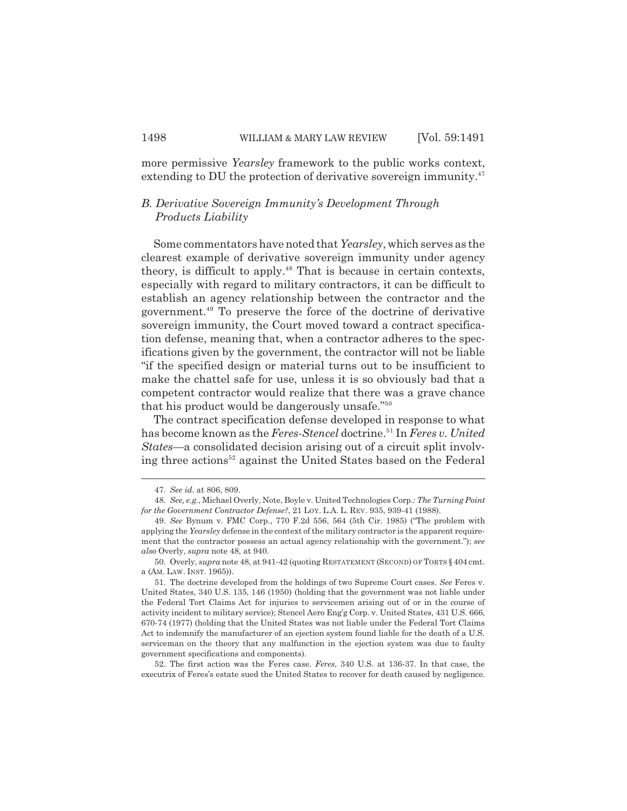more permissive *Yearsley* framework to the public works context, extending to DU the protection of derivative sovereign immunity.<sup>47</sup>

# *B. Derivative Sovereign Immunity's Development Through Products Liability*

Some commentators have noted that *Yearsley*, which serves as the clearest example of derivative sovereign immunity under agency theory, is difficult to apply.<sup>48</sup> That is because in certain contexts, especially with regard to military contractors, it can be difficult to establish an agency relationship between the contractor and the government.49 To preserve the force of the doctrine of derivative sovereign immunity, the Court moved toward a contract specification defense, meaning that, when a contractor adheres to the specifications given by the government, the contractor will not be liable "if the specified design or material turns out to be insufficient to make the chattel safe for use, unless it is so obviously bad that a competent contractor would realize that there was a grave chance that his product would be dangerously unsafe."50

The contract specification defense developed in response to what has become known as the *Feres-Stencel* doctrine.<sup>51</sup> In *Feres v. United States*—a consolidated decision arising out of a circuit split involving three actions<sup>52</sup> against the United States based on the Federal

52. The first action was the Feres case. *Feres*, 340 U.S. at 136-37. In that case, the executrix of Feres's estate sued the United States to recover for death caused by negligence.

<sup>47.</sup> *See id.* at 806, 809.

<sup>48.</sup> *See, e.g.*, Michael Overly, Note, Boyle v. United Technologies Corp.*: The Turning Point for the Government Contractor Defense?*, 21 LOY. L.A. L. REV. 935, 939-41 (1988).

<sup>49.</sup> *See* Bynum v. FMC Corp., 770 F.2d 556, 564 (5th Cir. 1985) ("The problem with applying the *Yearsley* defense in the context of the military contractor is the apparent requirement that the contractor possess an actual agency relationship with the government."); *see also* Overly, *supra* note 48, at 940.

<sup>50.</sup> Overly, *supra* note 48, at 941-42 (quoting RESTATEMENT (SECOND) OF TORTS § 404 cmt. a (AM. LAW. INST. 1965)).

<sup>51.</sup> The doctrine developed from the holdings of two Supreme Court cases. *See* Feres v. United States, 340 U.S. 135, 146 (1950) (holding that the government was not liable under the Federal Tort Claims Act for injuries to servicemen arising out of or in the course of activity incident to military service); Stencel Aero Eng'g Corp. v. United States, 431 U.S. 666, 670-74 (1977) (holding that the United States was not liable under the Federal Tort Claims Act to indemnify the manufacturer of an ejection system found liable for the death of a U.S. serviceman on the theory that any malfunction in the ejection system was due to faulty government specifications and components).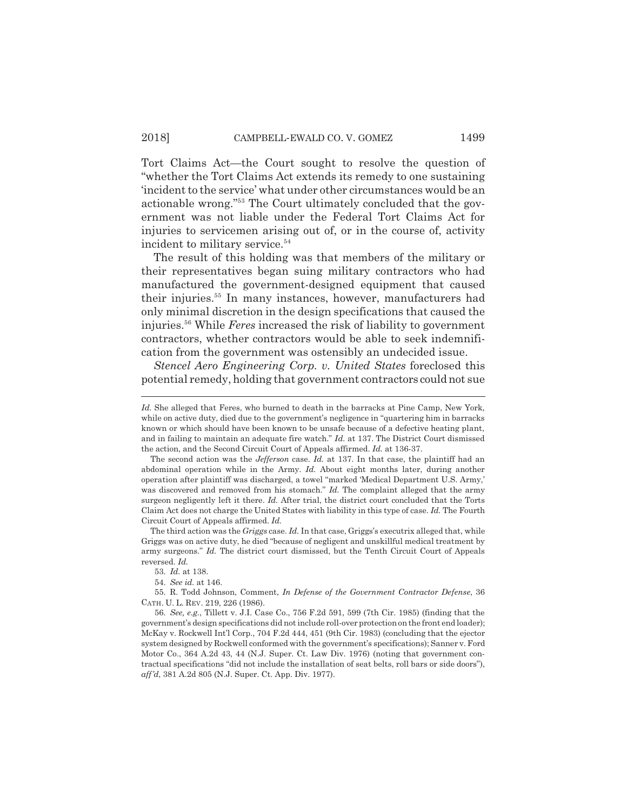Tort Claims Act—the Court sought to resolve the question of "whether the Tort Claims Act extends its remedy to one sustaining 'incident to the service' what under other circumstances would be an actionable wrong."53 The Court ultimately concluded that the government was not liable under the Federal Tort Claims Act for injuries to servicemen arising out of, or in the course of, activity incident to military service.<sup>54</sup>

The result of this holding was that members of the military or their representatives began suing military contractors who had manufactured the government-designed equipment that caused their injuries.<sup>55</sup> In many instances, however, manufacturers had only minimal discretion in the design specifications that caused the injuries.56 While *Feres* increased the risk of liability to government contractors, whether contractors would be able to seek indemnification from the government was ostensibly an undecided issue.

*Stencel Aero Engineering Corp. v. United States* foreclosed this potential remedy, holding that government contractors could not sue

*Id.* She alleged that Feres, who burned to death in the barracks at Pine Camp, New York, while on active duty, died due to the government's negligence in "quartering him in barracks known or which should have been known to be unsafe because of a defective heating plant, and in failing to maintain an adequate fire watch." *Id.* at 137. The District Court dismissed the action, and the Second Circuit Court of Appeals affirmed. *Id.* at 136-37.

The second action was the *Jefferson* case. *Id.* at 137. In that case, the plaintiff had an abdominal operation while in the Army. *Id.* About eight months later, during another operation after plaintiff was discharged, a towel "marked 'Medical Department U.S. Army,' was discovered and removed from his stomach." *Id.* The complaint alleged that the army surgeon negligently left it there. *Id.* After trial, the district court concluded that the Torts Claim Act does not charge the United States with liability in this type of case. *Id.* The Fourth Circuit Court of Appeals affirmed. *Id.*

The third action was the *Griggs* case. *Id.* In that case, Griggs's executrix alleged that, while Griggs was on active duty, he died "because of negligent and unskillful medical treatment by army surgeons." *Id.* The district court dismissed, but the Tenth Circuit Court of Appeals reversed. *Id.*

<sup>53.</sup> *Id.* at 138.

<sup>54.</sup> *See id.* at 146.

<sup>55.</sup> R. Todd Johnson, Comment, *In Defense of the Government Contractor Defense*, 36 CATH. U. L. REV. 219, 226 (1986).

<sup>56.</sup> *See, e.g.*, Tillett v. J.I. Case Co., 756 F.2d 591, 599 (7th Cir. 1985) (finding that the government's design specifications did not include roll-over protection on the front end loader); McKay v. Rockwell Int'l Corp., 704 F.2d 444, 451 (9th Cir. 1983) (concluding that the ejector system designed by Rockwell conformed with the government's specifications); Sanner v. Ford Motor Co., 364 A.2d 43, 44 (N.J. Super. Ct. Law Div. 1976) (noting that government contractual specifications "did not include the installation of seat belts, roll bars or side doors"), *aff'd*, 381 A.2d 805 (N.J. Super. Ct. App. Div. 1977).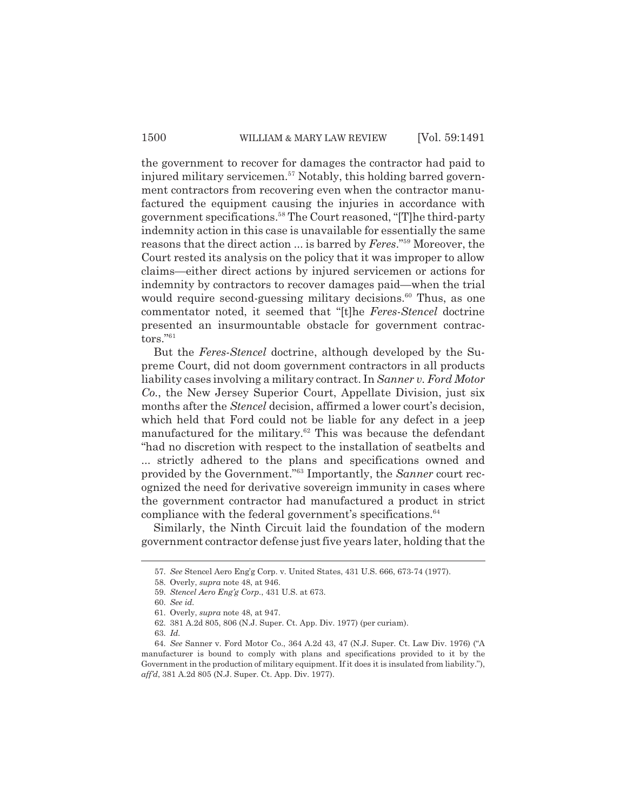the government to recover for damages the contractor had paid to injured military servicemen.<sup>57</sup> Notably, this holding barred government contractors from recovering even when the contractor manufactured the equipment causing the injuries in accordance with government specifications.58 The Court reasoned, "[T]he third-party indemnity action in this case is unavailable for essentially the same reasons that the direct action ... is barred by *Feres*."59 Moreover, the Court rested its analysis on the policy that it was improper to allow claims—either direct actions by injured servicemen or actions for indemnity by contractors to recover damages paid—when the trial would require second-guessing military decisions.<sup>60</sup> Thus, as one commentator noted, it seemed that "[t]he *Feres-Stencel* doctrine presented an insurmountable obstacle for government contractors."61

But the *Feres-Stencel* doctrine, although developed by the Supreme Court, did not doom government contractors in all products liability cases involving a military contract. In *Sanner v. Ford Motor Co.*, the New Jersey Superior Court, Appellate Division, just six months after the *Stencel* decision, affirmed a lower court's decision, which held that Ford could not be liable for any defect in a jeep manufactured for the military. $62$  This was because the defendant "had no discretion with respect to the installation of seatbelts and ... strictly adhered to the plans and specifications owned and provided by the Government."63 Importantly, the *Sanner* court recognized the need for derivative sovereign immunity in cases where the government contractor had manufactured a product in strict compliance with the federal government's specifications. $64$ 

Similarly, the Ninth Circuit laid the foundation of the modern government contractor defense just five years later, holding that the

<sup>57.</sup> *See* Stencel Aero Eng'g Corp. v. United States, 431 U.S. 666, 673-74 (1977).

<sup>58.</sup> Overly, *supra* note 48, at 946.

<sup>59.</sup> *Stencel Aero Eng'g Corp.*, 431 U.S. at 673.

<sup>60.</sup> *See id.*

<sup>61.</sup> Overly, *supra* note 48, at 947.

<sup>62. 381</sup> A.2d 805, 806 (N.J. Super. Ct. App. Div. 1977) (per curiam).

<sup>63.</sup> *Id.*

<sup>64.</sup> *See* Sanner v. Ford Motor Co., 364 A.2d 43, 47 (N.J. Super. Ct. Law Div. 1976) ("A manufacturer is bound to comply with plans and specifications provided to it by the Government in the production of military equipment. If it does it is insulated from liability."), *aff'd*, 381 A.2d 805 (N.J. Super. Ct. App. Div. 1977).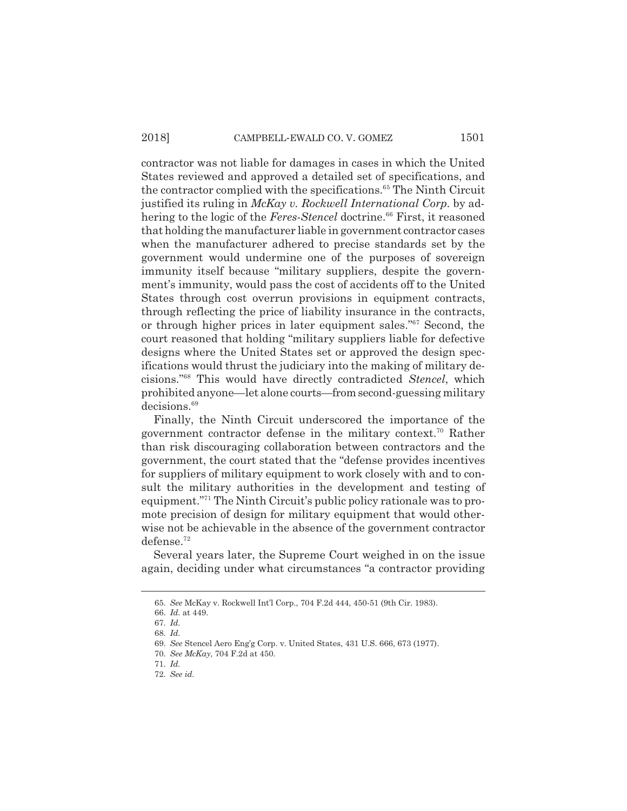contractor was not liable for damages in cases in which the United States reviewed and approved a detailed set of specifications, and the contractor complied with the specifications.<sup>65</sup> The Ninth Circuit justified its ruling in *McKay v. Rockwell International Corp.* by adhering to the logic of the *Feres-Stencel* doctrine.<sup>66</sup> First, it reasoned that holding the manufacturer liable in government contractor cases when the manufacturer adhered to precise standards set by the government would undermine one of the purposes of sovereign immunity itself because "military suppliers, despite the government's immunity, would pass the cost of accidents off to the United States through cost overrun provisions in equipment contracts, through reflecting the price of liability insurance in the contracts, or through higher prices in later equipment sales."67 Second, the court reasoned that holding "military suppliers liable for defective designs where the United States set or approved the design specifications would thrust the judiciary into the making of military decisions."68 This would have directly contradicted *Stencel*, which prohibited anyone—let alone courts—from second-guessing military decisions.<sup>69</sup>

Finally, the Ninth Circuit underscored the importance of the government contractor defense in the military context.70 Rather than risk discouraging collaboration between contractors and the government, the court stated that the "defense provides incentives for suppliers of military equipment to work closely with and to consult the military authorities in the development and testing of equipment."71 The Ninth Circuit's public policy rationale was to promote precision of design for military equipment that would otherwise not be achievable in the absence of the government contractor defense.72

Several years later, the Supreme Court weighed in on the issue again, deciding under what circumstances "a contractor providing

<sup>65.</sup> *See* McKay v. Rockwell Int'l Corp., 704 F.2d 444, 450-51 (9th Cir. 1983).

<sup>66.</sup> *Id.* at 449.

<sup>67.</sup> *Id.*

<sup>68.</sup> *Id.*

<sup>69.</sup> *See* Stencel Aero Eng'g Corp. v. United States, 431 U.S. 666, 673 (1977).

<sup>70.</sup> *See McKay*, 704 F.2d at 450.

<sup>71.</sup> *Id.*

<sup>72.</sup> *See id.*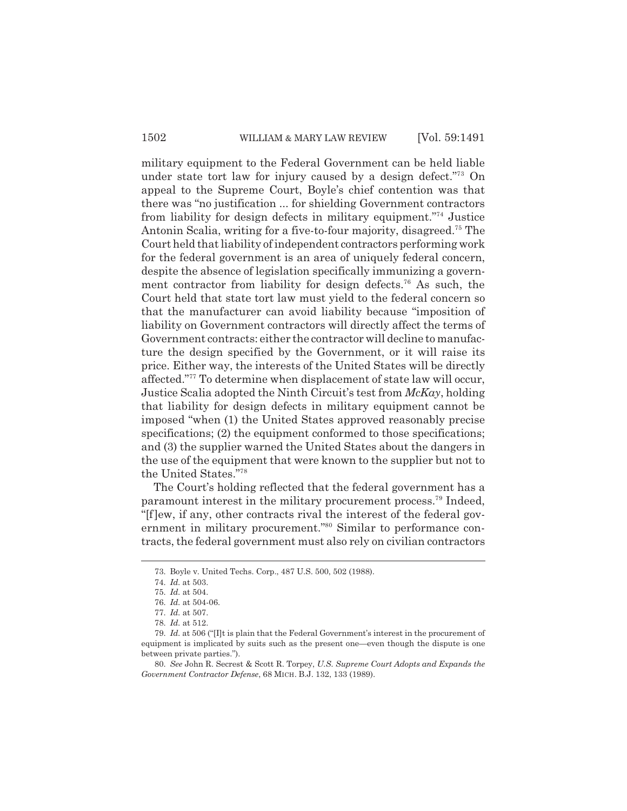military equipment to the Federal Government can be held liable under state tort law for injury caused by a design defect."73 On appeal to the Supreme Court, Boyle's chief contention was that there was "no justification ... for shielding Government contractors from liability for design defects in military equipment."74 Justice Antonin Scalia, writing for a five-to-four majority, disagreed.<sup>75</sup> The Court held that liability of independent contractors performing work for the federal government is an area of uniquely federal concern, despite the absence of legislation specifically immunizing a government contractor from liability for design defects.<sup>76</sup> As such, the Court held that state tort law must yield to the federal concern so that the manufacturer can avoid liability because "imposition of liability on Government contractors will directly affect the terms of Government contracts: either the contractor will decline to manufacture the design specified by the Government, or it will raise its price. Either way, the interests of the United States will be directly affected."77 To determine when displacement of state law will occur, Justice Scalia adopted the Ninth Circuit's test from *McKay*, holding that liability for design defects in military equipment cannot be imposed "when (1) the United States approved reasonably precise specifications; (2) the equipment conformed to those specifications; and (3) the supplier warned the United States about the dangers in the use of the equipment that were known to the supplier but not to the United States."78

The Court's holding reflected that the federal government has a paramount interest in the military procurement process.79 Indeed, "[f]ew, if any, other contracts rival the interest of the federal government in military procurement."<sup>80</sup> Similar to performance contracts, the federal government must also rely on civilian contractors

<sup>73.</sup> Boyle v. United Techs. Corp., 487 U.S. 500, 502 (1988).

<sup>74.</sup> *Id.* at 503.

<sup>75.</sup> *Id.* at 504.

<sup>76.</sup> *Id.* at 504-06.

<sup>77.</sup> *Id.* at 507.

<sup>78.</sup> *Id.* at 512.

<sup>79.</sup> *Id.* at 506 ("[I]t is plain that the Federal Government's interest in the procurement of equipment is implicated by suits such as the present one—even though the dispute is one between private parties.").

<sup>80.</sup> *See* John R. Secrest & Scott R. Torpey, *U.S. Supreme Court Adopts and Expands the Government Contractor Defense*, 68 MICH. B.J. 132, 133 (1989).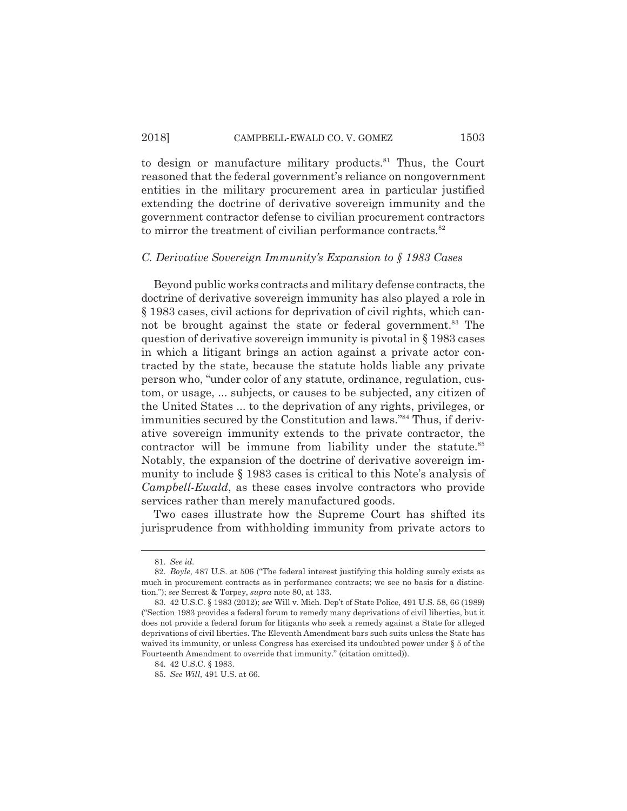to design or manufacture military products. $81$  Thus, the Court reasoned that the federal government's reliance on nongovernment entities in the military procurement area in particular justified extending the doctrine of derivative sovereign immunity and the government contractor defense to civilian procurement contractors to mirror the treatment of civilian performance contracts.<sup>82</sup>

#### *C. Derivative Sovereign Immunity's Expansion to § 1983 Cases*

Beyond public works contracts and military defense contracts, the doctrine of derivative sovereign immunity has also played a role in § 1983 cases, civil actions for deprivation of civil rights, which cannot be brought against the state or federal government.<sup>83</sup> The question of derivative sovereign immunity is pivotal in § 1983 cases in which a litigant brings an action against a private actor contracted by the state, because the statute holds liable any private person who, "under color of any statute, ordinance, regulation, custom, or usage, ... subjects, or causes to be subjected, any citizen of the United States ... to the deprivation of any rights, privileges, or immunities secured by the Constitution and laws."84 Thus, if derivative sovereign immunity extends to the private contractor, the contractor will be immune from liability under the statute.<sup>85</sup> Notably, the expansion of the doctrine of derivative sovereign immunity to include § 1983 cases is critical to this Note's analysis of *Campbell-Ewald*, as these cases involve contractors who provide services rather than merely manufactured goods.

Two cases illustrate how the Supreme Court has shifted its jurisprudence from withholding immunity from private actors to

<sup>81.</sup> *See id.*

<sup>82.</sup> *Boyle*, 487 U.S. at 506 ("The federal interest justifying this holding surely exists as much in procurement contracts as in performance contracts; we see no basis for a distinction."); *see* Secrest & Torpey, *supra* note 80, at 133.

<sup>83. 42</sup> U.S.C. § 1983 (2012); *see* Will v. Mich. Dep't of State Police, 491 U.S. 58, 66 (1989) ("Section 1983 provides a federal forum to remedy many deprivations of civil liberties, but it does not provide a federal forum for litigants who seek a remedy against a State for alleged deprivations of civil liberties. The Eleventh Amendment bars such suits unless the State has waived its immunity, or unless Congress has exercised its undoubted power under § 5 of the Fourteenth Amendment to override that immunity." (citation omitted)).

<sup>84. 42</sup> U.S.C. § 1983.

<sup>85.</sup> *See Will*, 491 U.S. at 66.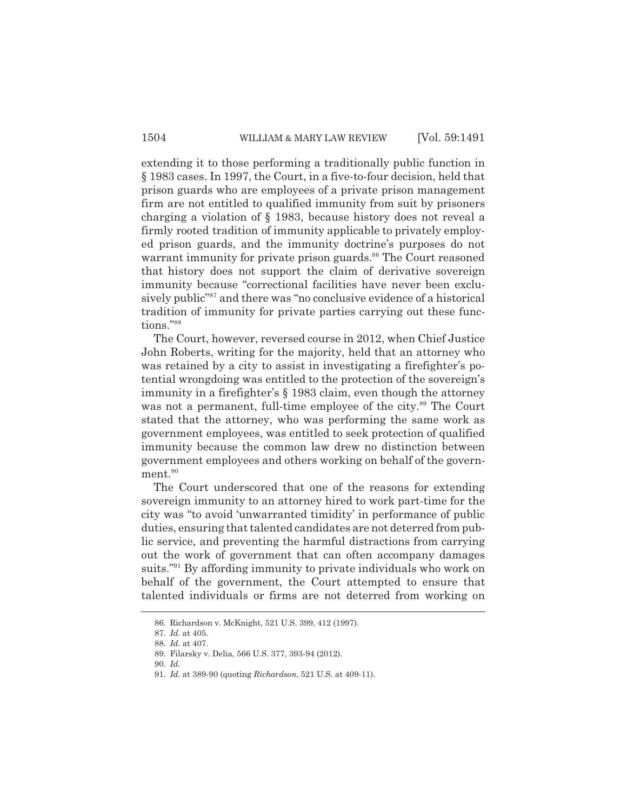extending it to those performing a traditionally public function in § 1983 cases. In 1997, the Court, in a five-to-four decision, held that prison guards who are employees of a private prison management firm are not entitled to qualified immunity from suit by prisoners charging a violation of § 1983, because history does not reveal a firmly rooted tradition of immunity applicable to privately employed prison guards, and the immunity doctrine's purposes do not warrant immunity for private prison guards.<sup>86</sup> The Court reasoned that history does not support the claim of derivative sovereign immunity because "correctional facilities have never been exclusively public<sup>"87</sup> and there was "no conclusive evidence of a historical tradition of immunity for private parties carrying out these functions."88

The Court, however, reversed course in 2012, when Chief Justice John Roberts, writing for the majority, held that an attorney who was retained by a city to assist in investigating a firefighter's potential wrongdoing was entitled to the protection of the sovereign's immunity in a firefighter's § 1983 claim, even though the attorney was not a permanent, full-time employee of the city.<sup>89</sup> The Court stated that the attorney, who was performing the same work as government employees, was entitled to seek protection of qualified immunity because the common law drew no distinction between government employees and others working on behalf of the government.<sup>90</sup>

The Court underscored that one of the reasons for extending sovereign immunity to an attorney hired to work part-time for the city was "to avoid 'unwarranted timidity' in performance of public duties, ensuring that talented candidates are not deterred from public service, and preventing the harmful distractions from carrying out the work of government that can often accompany damages suits."<sup>91</sup> By affording immunity to private individuals who work on behalf of the government, the Court attempted to ensure that talented individuals or firms are not deterred from working on

<sup>86.</sup> Richardson v. McKnight, 521 U.S. 399, 412 (1997).

<sup>87.</sup> *Id.* at 405.

<sup>88.</sup> *Id.* at 407. 89. Filarsky v. Delia, 566 U.S. 377, 393-94 (2012).

<sup>90.</sup> *Id.*

<sup>91.</sup> *Id.* at 389-90 (quoting *Richardson*, 521 U.S. at 409-11).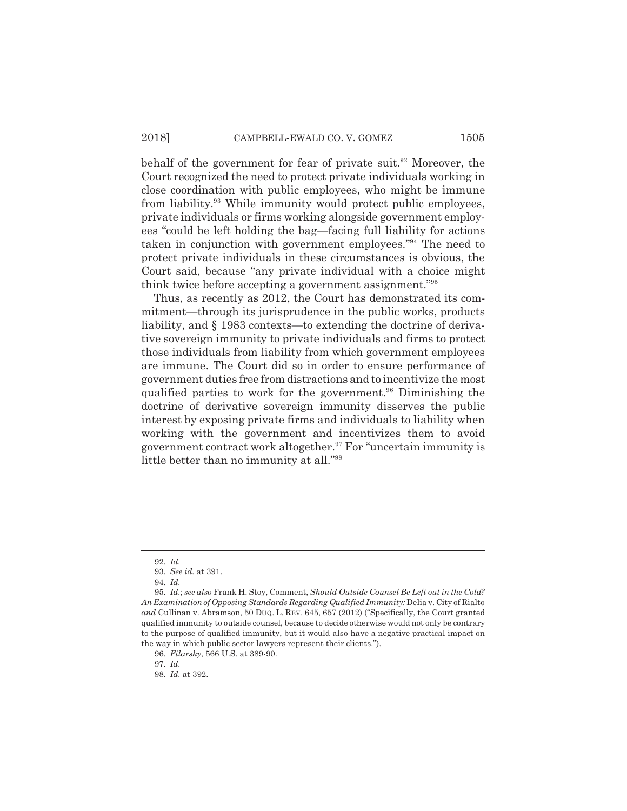behalf of the government for fear of private suit.<sup>92</sup> Moreover, the Court recognized the need to protect private individuals working in close coordination with public employees, who might be immune from liability.93 While immunity would protect public employees, private individuals or firms working alongside government employees "could be left holding the bag—facing full liability for actions taken in conjunction with government employees."94 The need to protect private individuals in these circumstances is obvious, the Court said, because "any private individual with a choice might think twice before accepting a government assignment."95

Thus, as recently as 2012, the Court has demonstrated its commitment—through its jurisprudence in the public works, products liability, and § 1983 contexts—to extending the doctrine of derivative sovereign immunity to private individuals and firms to protect those individuals from liability from which government employees are immune. The Court did so in order to ensure performance of government duties free from distractions and to incentivize the most qualified parties to work for the government.<sup>96</sup> Diminishing the doctrine of derivative sovereign immunity disserves the public interest by exposing private firms and individuals to liability when working with the government and incentivizes them to avoid government contract work altogether.<sup>97</sup> For "uncertain immunity is little better than no immunity at all."98

<sup>92.</sup> *Id.*

<sup>93.</sup> *See id.* at 391.

<sup>94.</sup> *Id.*

<sup>95.</sup> *Id.*; *see also* Frank H. Stoy, Comment, *Should Outside Counsel Be Left out in the Cold? An Examination of Opposing Standards Regarding Qualified Immunity:* Delia v. City of Rialto *and* Cullinan v. Abramson, 50 DUQ. L. REV. 645, 657 (2012) ("Specifically, the Court granted qualified immunity to outside counsel, because to decide otherwise would not only be contrary to the purpose of qualified immunity, but it would also have a negative practical impact on the way in which public sector lawyers represent their clients.").

<sup>96.</sup> *Filarsky*, 566 U.S. at 389-90.

<sup>97.</sup> *Id.*

<sup>98.</sup> *Id.* at 392.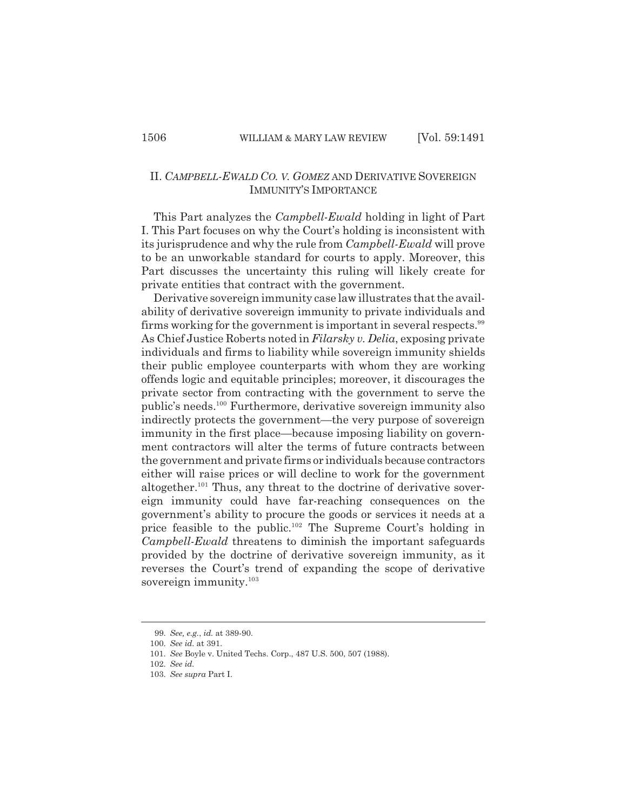# II. *CAMPBELL-EWALD CO. V. GOMEZ* AND DERIVATIVE SOVEREIGN IMMUNITY'S IMPORTANCE

This Part analyzes the *Campbell-Ewald* holding in light of Part I. This Part focuses on why the Court's holding is inconsistent with its jurisprudence and why the rule from *Campbell-Ewald* will prove to be an unworkable standard for courts to apply. Moreover, this Part discusses the uncertainty this ruling will likely create for private entities that contract with the government.

Derivative sovereign immunity case law illustrates that the availability of derivative sovereign immunity to private individuals and firms working for the government is important in several respects.<sup>99</sup> As Chief Justice Roberts noted in *Filarsky v. Delia*, exposing private individuals and firms to liability while sovereign immunity shields their public employee counterparts with whom they are working offends logic and equitable principles; moreover, it discourages the private sector from contracting with the government to serve the public's needs.100 Furthermore, derivative sovereign immunity also indirectly protects the government—the very purpose of sovereign immunity in the first place—because imposing liability on government contractors will alter the terms of future contracts between the government and private firms or individuals because contractors either will raise prices or will decline to work for the government altogether.<sup>101</sup> Thus, any threat to the doctrine of derivative sovereign immunity could have far-reaching consequences on the government's ability to procure the goods or services it needs at a price feasible to the public.<sup>102</sup> The Supreme Court's holding in *Campbell-Ewald* threatens to diminish the important safeguards provided by the doctrine of derivative sovereign immunity, as it reverses the Court's trend of expanding the scope of derivative sovereign immunity.<sup>103</sup>

<sup>99.</sup> *See, e.g.*, *id.* at 389-90.

<sup>100.</sup> *See id.* at 391.

<sup>101.</sup> *See* Boyle v. United Techs. Corp., 487 U.S. 500, 507 (1988).

<sup>102.</sup> *See id.*

<sup>103.</sup> *See supra* Part I.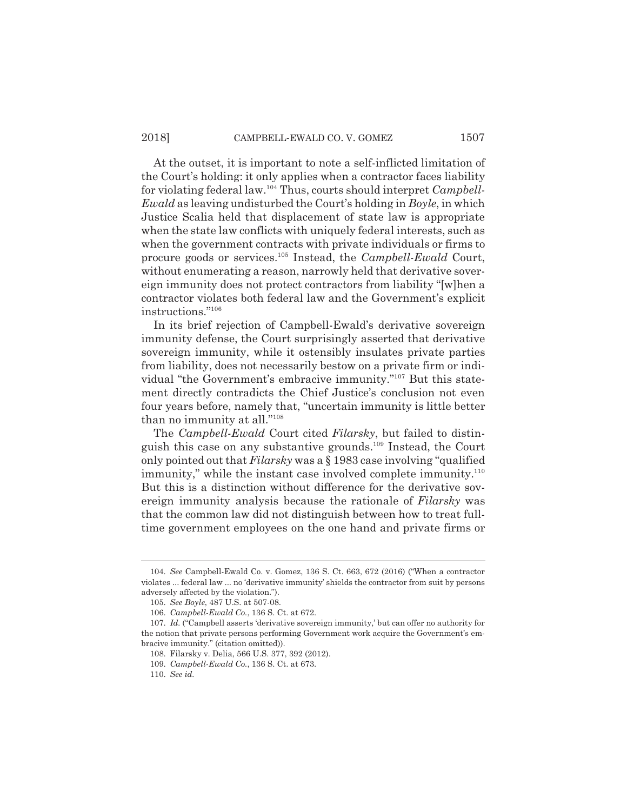At the outset, it is important to note a self-inflicted limitation of the Court's holding: it only applies when a contractor faces liability for violating federal law.104 Thus, courts should interpret *Campbell-Ewald* as leaving undisturbed the Court's holding in *Boyle*, in which Justice Scalia held that displacement of state law is appropriate when the state law conflicts with uniquely federal interests, such as when the government contracts with private individuals or firms to procure goods or services.105 Instead, the *Campbell-Ewald* Court, without enumerating a reason, narrowly held that derivative sovereign immunity does not protect contractors from liability "[w]hen a contractor violates both federal law and the Government's explicit instructions."106

In its brief rejection of Campbell-Ewald's derivative sovereign immunity defense, the Court surprisingly asserted that derivative sovereign immunity, while it ostensibly insulates private parties from liability, does not necessarily bestow on a private firm or individual "the Government's embracive immunity."107 But this statement directly contradicts the Chief Justice's conclusion not even four years before, namely that, "uncertain immunity is little better than no immunity at all."108

The *Campbell-Ewald* Court cited *Filarsky*, but failed to distinguish this case on any substantive grounds.109 Instead, the Court only pointed out that *Filarsky* was a § 1983 case involving "qualified immunity," while the instant case involved complete immunity. $^{110}$ But this is a distinction without difference for the derivative sovereign immunity analysis because the rationale of *Filarsky* was that the common law did not distinguish between how to treat fulltime government employees on the one hand and private firms or

<sup>104.</sup> *See* Campbell-Ewald Co. v. Gomez, 136 S. Ct. 663, 672 (2016) ("When a contractor violates ... federal law ... no 'derivative immunity' shields the contractor from suit by persons adversely affected by the violation.").

<sup>105.</sup> *See Boyle*, 487 U.S. at 507-08.

<sup>106.</sup> *Campbell-Ewald Co.*, 136 S. Ct. at 672.

<sup>107.</sup> *Id.* ("Campbell asserts 'derivative sovereign immunity,' but can offer no authority for the notion that private persons performing Government work acquire the Government's embracive immunity." (citation omitted)).

<sup>108.</sup> Filarsky v. Delia, 566 U.S. 377, 392 (2012).

<sup>109.</sup> *Campbell-Ewald Co.*, 136 S. Ct. at 673.

<sup>110.</sup> *See id.*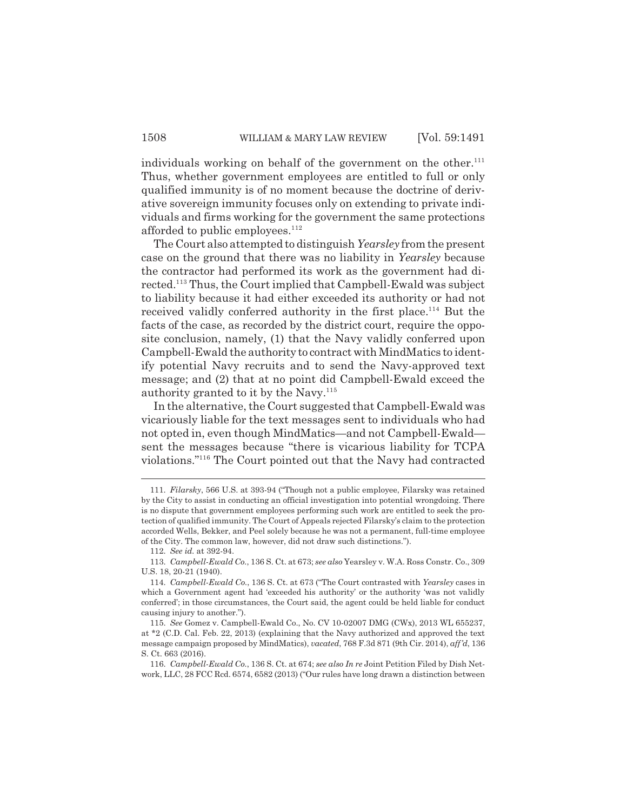individuals working on behalf of the government on the other. $111$ Thus, whether government employees are entitled to full or only qualified immunity is of no moment because the doctrine of derivative sovereign immunity focuses only on extending to private individuals and firms working for the government the same protections afforded to public employees. $112$ 

The Court also attempted to distinguish *Yearsley* from the present case on the ground that there was no liability in *Yearsley* because the contractor had performed its work as the government had directed.113 Thus, the Court implied that Campbell-Ewald was subject to liability because it had either exceeded its authority or had not received validly conferred authority in the first place.<sup>114</sup> But the facts of the case, as recorded by the district court, require the opposite conclusion, namely, (1) that the Navy validly conferred upon Campbell-Ewald the authority to contract with MindMatics to identify potential Navy recruits and to send the Navy-approved text message; and (2) that at no point did Campbell-Ewald exceed the authority granted to it by the Navy.<sup>115</sup>

In the alternative, the Court suggested that Campbell-Ewald was vicariously liable for the text messages sent to individuals who had not opted in, even though MindMatics—and not Campbell-Ewald sent the messages because "there is vicarious liability for TCPA violations."116 The Court pointed out that the Navy had contracted

<sup>111.</sup> *Filarsky*, 566 U.S. at 393-94 ("Though not a public employee, Filarsky was retained by the City to assist in conducting an official investigation into potential wrongdoing. There is no dispute that government employees performing such work are entitled to seek the protection of qualified immunity. The Court of Appeals rejected Filarsky's claim to the protection accorded Wells, Bekker, and Peel solely because he was not a permanent, full-time employee of the City. The common law, however, did not draw such distinctions.").

<sup>112.</sup> *See id.* at 392-94.

<sup>113.</sup> *Campbell-Ewald Co.*, 136 S. Ct. at 673; *see also* Yearsley v. W.A. Ross Constr. Co., 309 U.S. 18, 20-21 (1940).

<sup>114.</sup> *Campbell-Ewald Co.*, 136 S. Ct. at 673 ("The Court contrasted with *Yearsley* cases in which a Government agent had 'exceeded his authority' or the authority 'was not validly conferred'; in those circumstances, the Court said, the agent could be held liable for conduct causing injury to another.").

<sup>115.</sup> *See* Gomez v. Campbell-Ewald Co., No. CV 10-02007 DMG (CWx), 2013 WL 655237, at \*2 (C.D. Cal. Feb. 22, 2013) (explaining that the Navy authorized and approved the text message campaign proposed by MindMatics), *vacated*, 768 F.3d 871 (9th Cir. 2014), *aff'd*, 136 S. Ct. 663 (2016).

<sup>116.</sup> *Campbell-Ewald Co.*, 136 S. Ct. at 674; *see also In re* Joint Petition Filed by Dish Network, LLC, 28 FCC Rcd. 6574, 6582 (2013) ("Our rules have long drawn a distinction between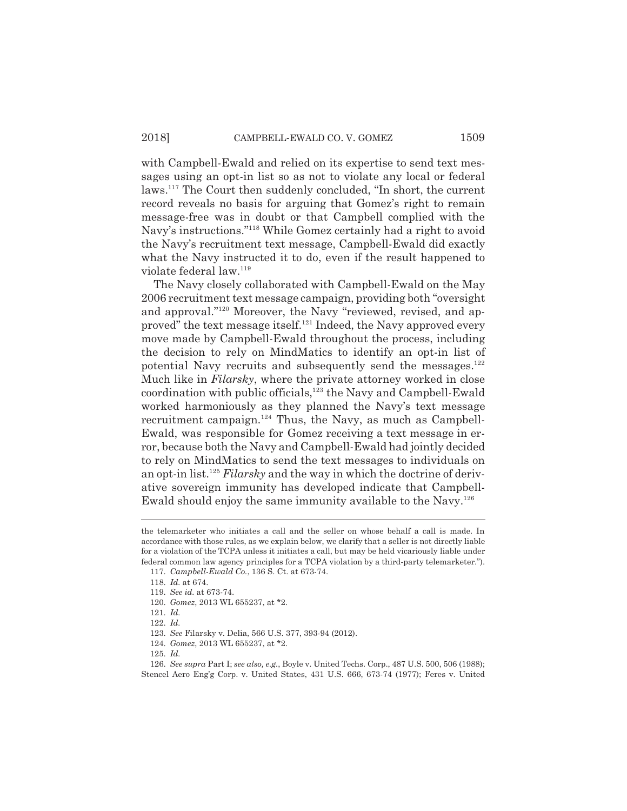with Campbell-Ewald and relied on its expertise to send text messages using an opt-in list so as not to violate any local or federal laws.117 The Court then suddenly concluded, "In short, the current record reveals no basis for arguing that Gomez's right to remain message-free was in doubt or that Campbell complied with the Navy's instructions."118 While Gomez certainly had a right to avoid the Navy's recruitment text message, Campbell-Ewald did exactly what the Navy instructed it to do, even if the result happened to violate federal law.<sup>119</sup>

The Navy closely collaborated with Campbell-Ewald on the May 2006 recruitment text message campaign, providing both "oversight and approval."120 Moreover, the Navy "reviewed, revised, and approved" the text message itself.<sup>121</sup> Indeed, the Navy approved every move made by Campbell-Ewald throughout the process, including the decision to rely on MindMatics to identify an opt-in list of potential Navy recruits and subsequently send the messages.<sup>122</sup> Much like in *Filarsky*, where the private attorney worked in close coordination with public officials,<sup>123</sup> the Navy and Campbell-Ewald worked harmoniously as they planned the Navy's text message recruitment campaign. $124$  Thus, the Navy, as much as Campbell-Ewald, was responsible for Gomez receiving a text message in error, because both the Navy and Campbell-Ewald had jointly decided to rely on MindMatics to send the text messages to individuals on an opt-in list.125 *Filarsky* and the way in which the doctrine of derivative sovereign immunity has developed indicate that Campbell-Ewald should enjoy the same immunity available to the Navy.126

the telemarketer who initiates a call and the seller on whose behalf a call is made. In accordance with those rules, as we explain below, we clarify that a seller is not directly liable for a violation of the TCPA unless it initiates a call, but may be held vicariously liable under federal common law agency principles for a TCPA violation by a third-party telemarketer.").

<sup>117.</sup> *Campbell-Ewald Co.*, 136 S. Ct. at 673-74.

<sup>118.</sup> *Id.* at 674.

<sup>119.</sup> *See id.* at 673-74.

<sup>120.</sup> *Gomez*, 2013 WL 655237, at \*2.

<sup>121.</sup> *Id.*

<sup>122.</sup> *Id.*

<sup>123.</sup> *See* Filarsky v. Delia, 566 U.S. 377, 393-94 (2012).

<sup>124.</sup> *Gomez*, 2013 WL 655237, at \*2.

<sup>125.</sup> *Id.*

<sup>126.</sup> *See supra* Part I; *see also, e.g.*, Boyle v. United Techs. Corp., 487 U.S. 500, 506 (1988); Stencel Aero Eng'g Corp. v. United States, 431 U.S. 666, 673-74 (1977); Feres v. United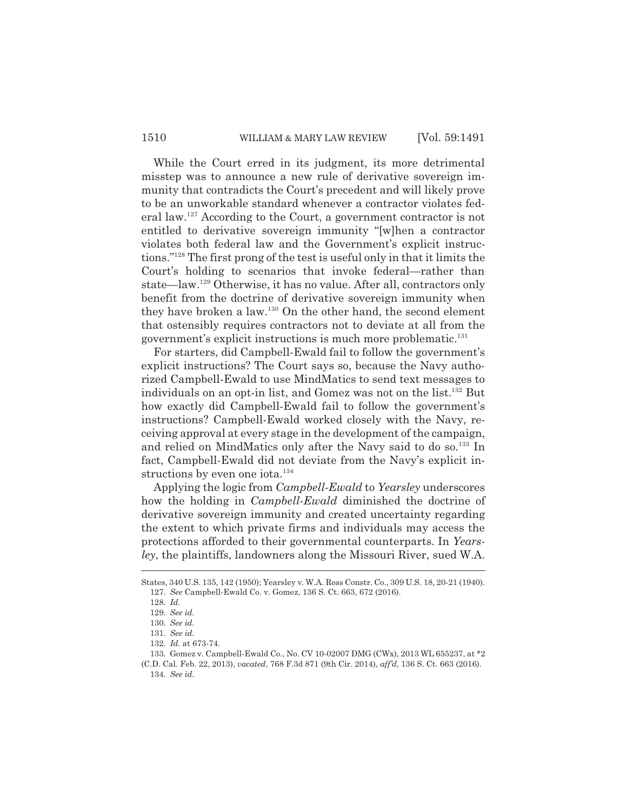While the Court erred in its judgment, its more detrimental misstep was to announce a new rule of derivative sovereign immunity that contradicts the Court's precedent and will likely prove to be an unworkable standard whenever a contractor violates federal law.127 According to the Court, a government contractor is not entitled to derivative sovereign immunity "[w]hen a contractor violates both federal law and the Government's explicit instructions."128 The first prong of the test is useful only in that it limits the Court's holding to scenarios that invoke federal—rather than state—law.129 Otherwise, it has no value. After all, contractors only benefit from the doctrine of derivative sovereign immunity when they have broken a law.130 On the other hand, the second element that ostensibly requires contractors not to deviate at all from the government's explicit instructions is much more problematic.<sup>131</sup>

For starters, did Campbell-Ewald fail to follow the government's explicit instructions? The Court says so, because the Navy authorized Campbell-Ewald to use MindMatics to send text messages to individuals on an opt-in list, and Gomez was not on the list.132 But how exactly did Campbell-Ewald fail to follow the government's instructions? Campbell-Ewald worked closely with the Navy, receiving approval at every stage in the development of the campaign, and relied on MindMatics only after the Navy said to do so.<sup>133</sup> In fact, Campbell-Ewald did not deviate from the Navy's explicit instructions by even one iota.<sup>134</sup>

Applying the logic from *Campbell-Ewald* to *Yearsley* underscores how the holding in *Campbell-Ewald* diminished the doctrine of derivative sovereign immunity and created uncertainty regarding the extent to which private firms and individuals may access the protections afforded to their governmental counterparts. In *Yearsley*, the plaintiffs, landowners along the Missouri River, sued W.A.

States, 340 U.S. 135, 142 (1950); Yearsley v. W.A. Ross Constr. Co., 309 U.S. 18, 20-21 (1940). 127. *See* Campbell-Ewald Co. v. Gomez, 136 S. Ct. 663, 672 (2016).

<sup>128.</sup> *Id.*

<sup>129.</sup> *See id.*

<sup>130.</sup> *See id.*

<sup>131.</sup> *See id.*

<sup>132.</sup> *Id.* at 673-74.

<sup>133.</sup> Gomez v. Campbell-Ewald Co., No. CV 10-02007 DMG (CWx), 2013 WL 655237, at \*2

<sup>(</sup>C.D. Cal. Feb. 22, 2013), *vacated*, 768 F.3d 871 (9th Cir. 2014), *aff'd*, 136 S. Ct. 663 (2016). 134. *See id.*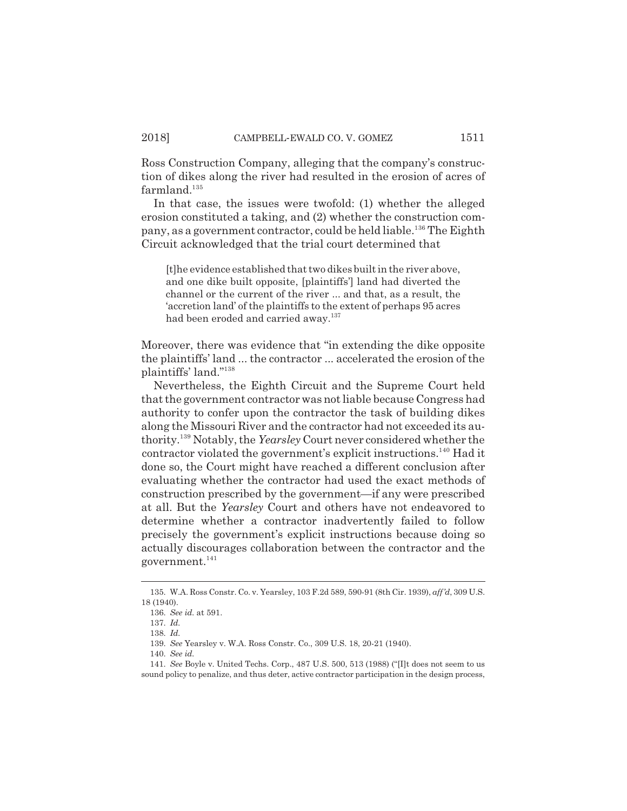Ross Construction Company, alleging that the company's construction of dikes along the river had resulted in the erosion of acres of  $farmland.<sup>135</sup>$ 

In that case, the issues were twofold: (1) whether the alleged erosion constituted a taking, and (2) whether the construction company, as a government contractor, could be held liable.<sup>136</sup> The Eighth Circuit acknowledged that the trial court determined that

[t]he evidence established that two dikes built in the river above, and one dike built opposite, [plaintiffs'] land had diverted the channel or the current of the river ... and that, as a result, the 'accretion land' of the plaintiffs to the extent of perhaps 95 acres had been eroded and carried away.<sup>137</sup>

Moreover, there was evidence that "in extending the dike opposite the plaintiffs' land ... the contractor ... accelerated the erosion of the plaintiffs' land."138

Nevertheless, the Eighth Circuit and the Supreme Court held that the government contractor was not liable because Congress had authority to confer upon the contractor the task of building dikes along the Missouri River and the contractor had not exceeded its authority.139 Notably, the *Yearsley* Court never considered whether the contractor violated the government's explicit instructions.140 Had it done so, the Court might have reached a different conclusion after evaluating whether the contractor had used the exact methods of construction prescribed by the government—if any were prescribed at all. But the *Yearsley* Court and others have not endeavored to determine whether a contractor inadvertently failed to follow precisely the government's explicit instructions because doing so actually discourages collaboration between the contractor and the government. $141$ 

<sup>135.</sup> W.A. Ross Constr. Co. v. Yearsley, 103 F.2d 589, 590-91 (8th Cir. 1939), *aff'd*, 309 U.S. 18 (1940).

<sup>136.</sup> *See id.* at 591.

<sup>137.</sup> *Id.*

<sup>138.</sup> *Id.*

<sup>139.</sup> *See* Yearsley v. W.A. Ross Constr. Co., 309 U.S. 18, 20-21 (1940).

<sup>140.</sup> *See id.*

<sup>141.</sup> *See* Boyle v. United Techs. Corp., 487 U.S. 500, 513 (1988) ("[I]t does not seem to us sound policy to penalize, and thus deter, active contractor participation in the design process,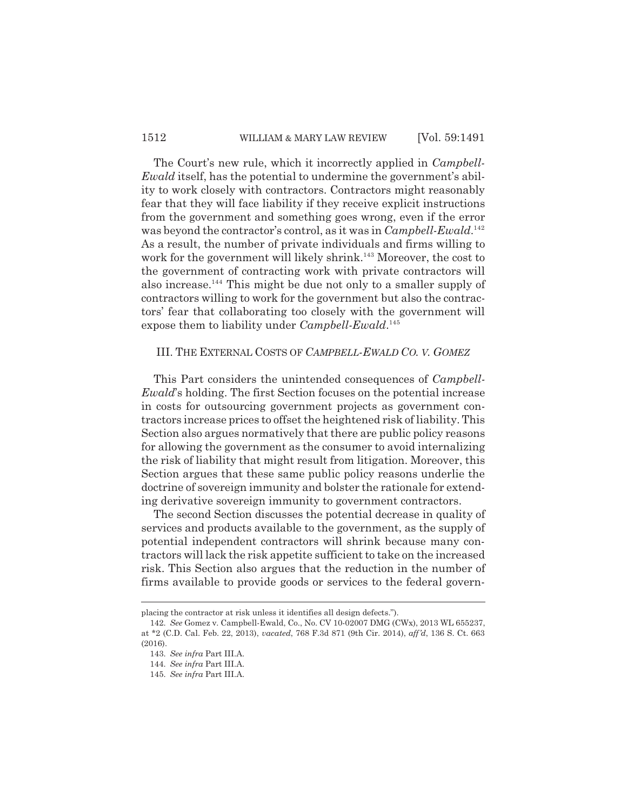The Court's new rule, which it incorrectly applied in *Campbell-Ewald* itself, has the potential to undermine the government's ability to work closely with contractors. Contractors might reasonably fear that they will face liability if they receive explicit instructions from the government and something goes wrong, even if the error was beyond the contractor's control, as it was in *Campbell-Ewald*. 142 As a result, the number of private individuals and firms willing to work for the government will likely shrink.<sup>143</sup> Moreover, the cost to the government of contracting work with private contractors will also increase.<sup>144</sup> This might be due not only to a smaller supply of contractors willing to work for the government but also the contractors' fear that collaborating too closely with the government will expose them to liability under *Campbell-Ewald*. 145

#### III. THE EXTERNAL COSTS OF *CAMPBELL-EWALD CO. V. GOMEZ*

This Part considers the unintended consequences of *Campbell-Ewald*'s holding. The first Section focuses on the potential increase in costs for outsourcing government projects as government contractors increase prices to offset the heightened risk of liability. This Section also argues normatively that there are public policy reasons for allowing the government as the consumer to avoid internalizing the risk of liability that might result from litigation. Moreover, this Section argues that these same public policy reasons underlie the doctrine of sovereign immunity and bolster the rationale for extending derivative sovereign immunity to government contractors.

The second Section discusses the potential decrease in quality of services and products available to the government, as the supply of potential independent contractors will shrink because many contractors will lack the risk appetite sufficient to take on the increased risk. This Section also argues that the reduction in the number of firms available to provide goods or services to the federal govern-

placing the contractor at risk unless it identifies all design defects.").

<sup>142.</sup> *See* Gomez v. Campbell-Ewald, Co., No. CV 10-02007 DMG (CWx), 2013 WL 655237, at \*2 (C.D. Cal. Feb. 22, 2013), *vacated*, 768 F.3d 871 (9th Cir. 2014), *aff'd*, 136 S. Ct. 663 (2016).

<sup>143.</sup> *See infra* Part III.A.

<sup>144.</sup> *See infra* Part III.A.

<sup>145.</sup> *See infra* Part III.A.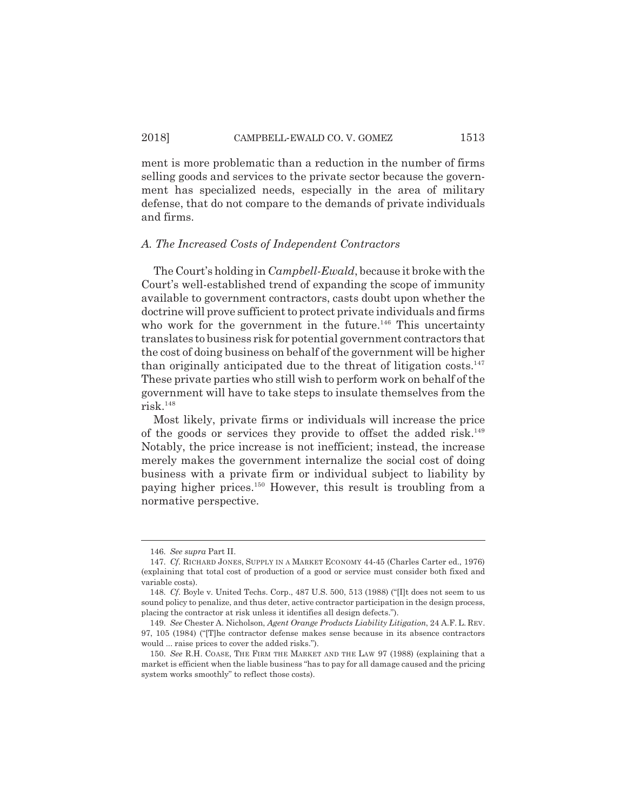ment is more problematic than a reduction in the number of firms selling goods and services to the private sector because the government has specialized needs, especially in the area of military defense, that do not compare to the demands of private individuals and firms.

#### *A. The Increased Costs of Independent Contractors*

The Court's holding in *Campbell-Ewald*, because it broke with the Court's well-established trend of expanding the scope of immunity available to government contractors, casts doubt upon whether the doctrine will prove sufficient to protect private individuals and firms who work for the government in the future.<sup>146</sup> This uncertainty translates to business risk for potential government contractors that the cost of doing business on behalf of the government will be higher than originally anticipated due to the threat of litigation  $costs$ <sup>147</sup> These private parties who still wish to perform work on behalf of the government will have to take steps to insulate themselves from the risk.148

Most likely, private firms or individuals will increase the price of the goods or services they provide to offset the added risk.<sup>149</sup> Notably, the price increase is not inefficient; instead, the increase merely makes the government internalize the social cost of doing business with a private firm or individual subject to liability by paying higher prices.150 However, this result is troubling from a normative perspective.

<sup>146.</sup> *See supra* Part II.

<sup>147.</sup> *Cf.* RICHARD JONES, SUPPLY IN A MARKET ECONOMY 44-45 (Charles Carter ed., 1976) (explaining that total cost of production of a good or service must consider both fixed and variable costs).

<sup>148.</sup> *Cf.* Boyle v. United Techs. Corp., 487 U.S. 500, 513 (1988) ("[I]t does not seem to us sound policy to penalize, and thus deter, active contractor participation in the design process, placing the contractor at risk unless it identifies all design defects.").

<sup>149.</sup> *See* Chester A. Nicholson, *Agent Orange Products Liability Litigation*, 24 A.F. L. REV. 97, 105 (1984) ("[T]he contractor defense makes sense because in its absence contractors would ... raise prices to cover the added risks.").

<sup>150.</sup> *See* R.H. COASE, THE FIRM THE MARKET AND THE LAW 97 (1988) (explaining that a market is efficient when the liable business "has to pay for all damage caused and the pricing system works smoothly" to reflect those costs).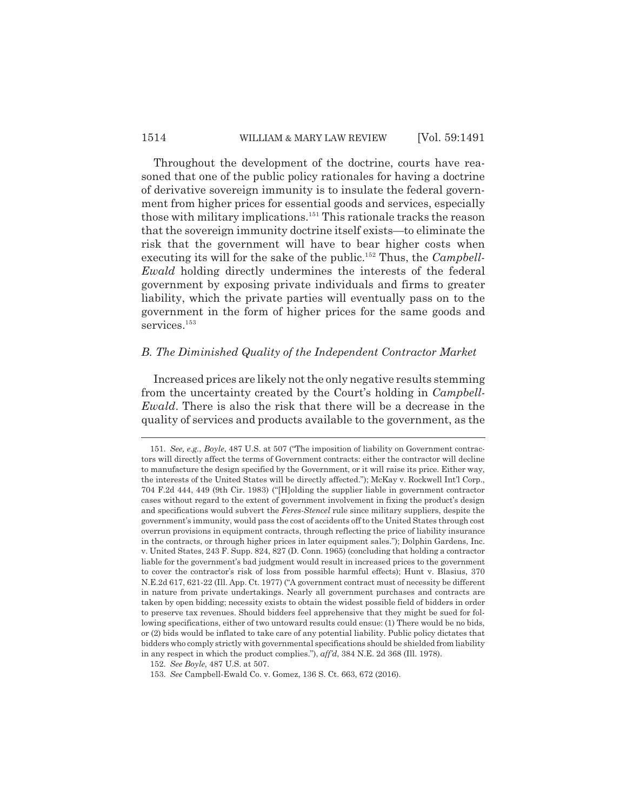Throughout the development of the doctrine, courts have reasoned that one of the public policy rationales for having a doctrine of derivative sovereign immunity is to insulate the federal government from higher prices for essential goods and services, especially those with military implications.151 This rationale tracks the reason that the sovereign immunity doctrine itself exists—to eliminate the risk that the government will have to bear higher costs when executing its will for the sake of the public.<sup>152</sup> Thus, the *Campbell*-*Ewald* holding directly undermines the interests of the federal government by exposing private individuals and firms to greater liability, which the private parties will eventually pass on to the government in the form of higher prices for the same goods and services.<sup>153</sup>

#### *B. The Diminished Quality of the Independent Contractor Market*

Increased prices are likely not the only negative results stemming from the uncertainty created by the Court's holding in *Campbell-Ewald*. There is also the risk that there will be a decrease in the quality of services and products available to the government, as the

<sup>151.</sup> *See, e.g.*, *Boyle*, 487 U.S. at 507 ("The imposition of liability on Government contractors will directly affect the terms of Government contracts: either the contractor will decline to manufacture the design specified by the Government, or it will raise its price. Either way, the interests of the United States will be directly affected."); McKay v. Rockwell Int'l Corp., 704 F.2d 444, 449 (9th Cir. 1983) ("[H]olding the supplier liable in government contractor cases without regard to the extent of government involvement in fixing the product's design and specifications would subvert the *Feres-Stencel* rule since military suppliers, despite the government's immunity, would pass the cost of accidents off to the United States through cost overrun provisions in equipment contracts, through reflecting the price of liability insurance in the contracts, or through higher prices in later equipment sales."); Dolphin Gardens, Inc. v. United States, 243 F. Supp. 824, 827 (D. Conn. 1965) (concluding that holding a contractor liable for the government's bad judgment would result in increased prices to the government to cover the contractor's risk of loss from possible harmful effects); Hunt v. Blasius, 370 N.E.2d 617, 621-22 (Ill. App. Ct. 1977) ("A government contract must of necessity be different in nature from private undertakings. Nearly all government purchases and contracts are taken by open bidding; necessity exists to obtain the widest possible field of bidders in order to preserve tax revenues. Should bidders feel apprehensive that they might be sued for following specifications, either of two untoward results could ensue: (1) There would be no bids, or (2) bids would be inflated to take care of any potential liability. Public policy dictates that bidders who comply strictly with governmental specifications should be shielded from liability in any respect in which the product complies."), *aff'd*, 384 N.E. 2d 368 (Ill. 1978).

<sup>152.</sup> *See Boyle*, 487 U.S. at 507.

<sup>153.</sup> *See* Campbell-Ewald Co. v. Gomez, 136 S. Ct. 663, 672 (2016).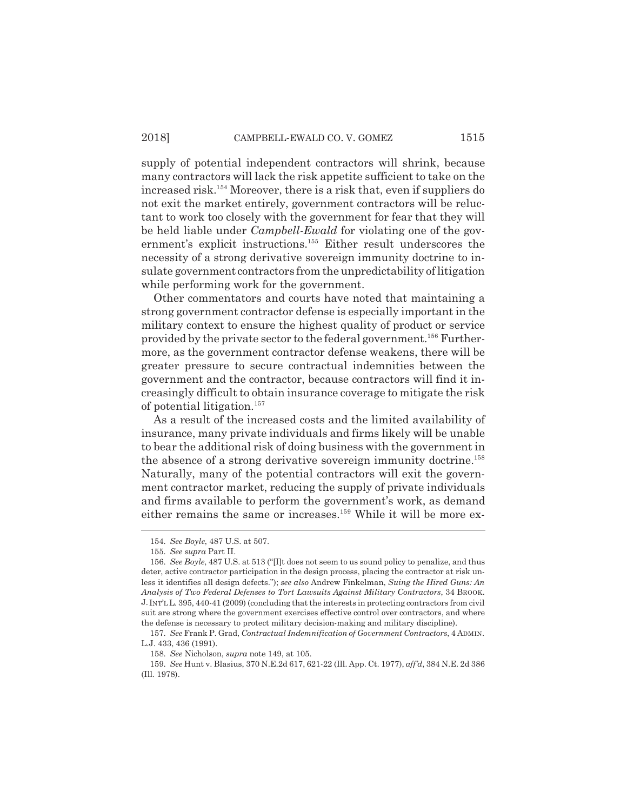supply of potential independent contractors will shrink, because many contractors will lack the risk appetite sufficient to take on the increased risk.154 Moreover, there is a risk that, even if suppliers do not exit the market entirely, government contractors will be reluctant to work too closely with the government for fear that they will be held liable under *Campbell-Ewald* for violating one of the government's explicit instructions.<sup>155</sup> Either result underscores the necessity of a strong derivative sovereign immunity doctrine to insulate government contractors from the unpredictability of litigation while performing work for the government.

Other commentators and courts have noted that maintaining a strong government contractor defense is especially important in the military context to ensure the highest quality of product or service provided by the private sector to the federal government.156 Furthermore, as the government contractor defense weakens, there will be greater pressure to secure contractual indemnities between the government and the contractor, because contractors will find it increasingly difficult to obtain insurance coverage to mitigate the risk of potential litigation.157

As a result of the increased costs and the limited availability of insurance, many private individuals and firms likely will be unable to bear the additional risk of doing business with the government in the absence of a strong derivative sovereign immunity doctrine.<sup>158</sup> Naturally, many of the potential contractors will exit the government contractor market, reducing the supply of private individuals and firms available to perform the government's work, as demand either remains the same or increases.<sup>159</sup> While it will be more ex-

<sup>154.</sup> *See Boyle*, 487 U.S. at 507.

<sup>155.</sup> *See supra* Part II.

<sup>156.</sup> *See Boyle*, 487 U.S. at 513 ("[I]t does not seem to us sound policy to penalize, and thus deter, active contractor participation in the design process, placing the contractor at risk unless it identifies all design defects."); *see also* Andrew Finkelman, *Suing the Hired Guns: An Analysis of Two Federal Defenses to Tort Lawsuits Against Military Contractors*, 34 BROOK. J. INT'L L. 395, 440-41 (2009) (concluding that the interests in protecting contractors from civil suit are strong where the government exercises effective control over contractors, and where the defense is necessary to protect military decision-making and military discipline).

<sup>157.</sup> *See* Frank P. Grad, *Contractual Indemnification of Government Contractors*, 4 ADMIN. L.J. 433, 436 (1991).

<sup>158.</sup> *See* Nicholson, *supra* note 149, at 105.

<sup>159.</sup> *See* Hunt v. Blasius, 370 N.E.2d 617, 621-22 (Ill. App. Ct. 1977), *aff'd*, 384 N.E. 2d 386 (Ill. 1978).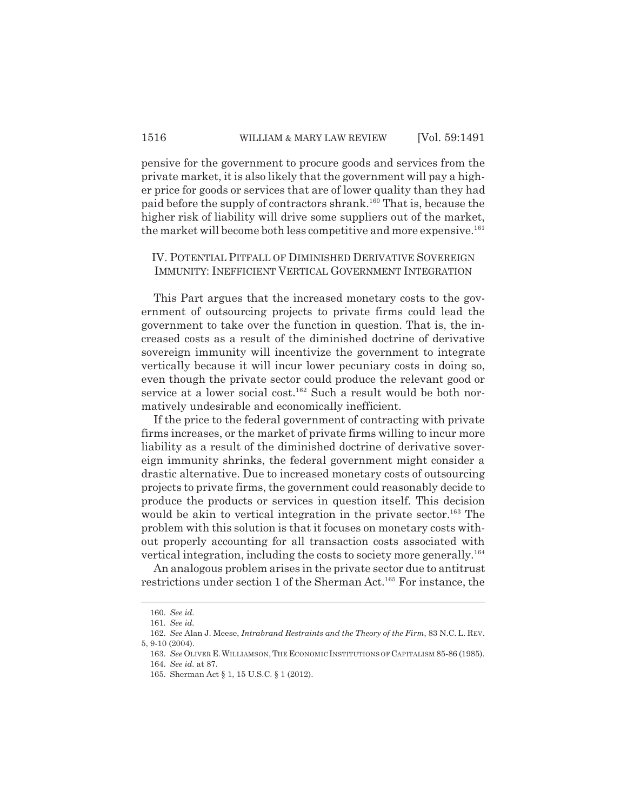pensive for the government to procure goods and services from the private market, it is also likely that the government will pay a higher price for goods or services that are of lower quality than they had paid before the supply of contractors shrank.160 That is, because the higher risk of liability will drive some suppliers out of the market, the market will become both less competitive and more expensive.<sup>161</sup>

#### IV. POTENTIAL PITFALL OF DIMINISHED DERIVATIVE SOVEREIGN IMMUNITY: INEFFICIENT VERTICAL GOVERNMENT INTEGRATION

This Part argues that the increased monetary costs to the government of outsourcing projects to private firms could lead the government to take over the function in question. That is, the increased costs as a result of the diminished doctrine of derivative sovereign immunity will incentivize the government to integrate vertically because it will incur lower pecuniary costs in doing so, even though the private sector could produce the relevant good or service at a lower social cost.<sup>162</sup> Such a result would be both normatively undesirable and economically inefficient.

If the price to the federal government of contracting with private firms increases, or the market of private firms willing to incur more liability as a result of the diminished doctrine of derivative sovereign immunity shrinks, the federal government might consider a drastic alternative. Due to increased monetary costs of outsourcing projects to private firms, the government could reasonably decide to produce the products or services in question itself. This decision would be akin to vertical integration in the private sector.<sup>163</sup> The problem with this solution is that it focuses on monetary costs without properly accounting for all transaction costs associated with vertical integration, including the costs to society more generally.<sup>164</sup>

An analogous problem arises in the private sector due to antitrust restrictions under section 1 of the Sherman Act.<sup>165</sup> For instance, the

<sup>160.</sup> *See id.*

<sup>161.</sup> *See id.*

<sup>162.</sup> *See* Alan J. Meese, *Intrabrand Restraints and the Theory of the Firm*, 83 N.C. L. REV. 5, 9-10 (2004).

<sup>163.</sup> *See* OLIVER E.WILLIAMSON,THE ECONOMIC INSTITUTIONS OF CAPITALISM 85-86 (1985). 164. *See id.* at 87.

<sup>165.</sup> Sherman Act § 1, 15 U.S.C. § 1 (2012).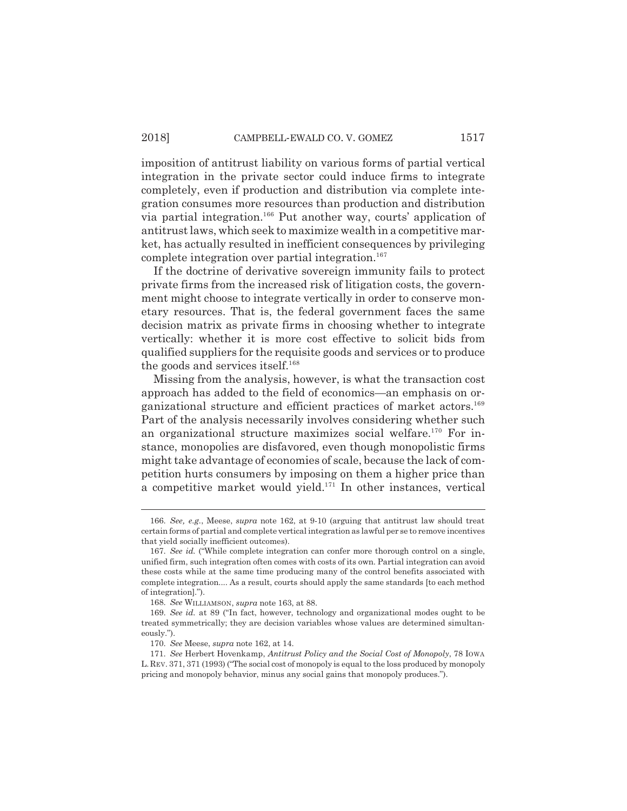imposition of antitrust liability on various forms of partial vertical integration in the private sector could induce firms to integrate completely, even if production and distribution via complete integration consumes more resources than production and distribution via partial integration.166 Put another way, courts' application of antitrust laws, which seek to maximize wealth in a competitive market, has actually resulted in inefficient consequences by privileging complete integration over partial integration.<sup>167</sup>

If the doctrine of derivative sovereign immunity fails to protect private firms from the increased risk of litigation costs, the government might choose to integrate vertically in order to conserve monetary resources. That is, the federal government faces the same decision matrix as private firms in choosing whether to integrate vertically: whether it is more cost effective to solicit bids from qualified suppliers for the requisite goods and services or to produce the goods and services itself. $168$ 

Missing from the analysis, however, is what the transaction cost approach has added to the field of economics—an emphasis on organizational structure and efficient practices of market actors.<sup>169</sup> Part of the analysis necessarily involves considering whether such an organizational structure maximizes social welfare.<sup>170</sup> For instance, monopolies are disfavored, even though monopolistic firms might take advantage of economies of scale, because the lack of competition hurts consumers by imposing on them a higher price than a competitive market would yield.171 In other instances, vertical

<sup>166.</sup> *See, e.g.*, Meese, *supra* note 162, at 9-10 (arguing that antitrust law should treat certain forms of partial and complete vertical integration as lawful per se to remove incentives that yield socially inefficient outcomes).

<sup>167.</sup> *See id.* ("While complete integration can confer more thorough control on a single, unified firm, such integration often comes with costs of its own. Partial integration can avoid these costs while at the same time producing many of the control benefits associated with complete integration.... As a result, courts should apply the same standards [to each method of integration].").

<sup>168.</sup> *See* WILLIAMSON, *supra* note 163, at 88.

<sup>169.</sup> *See id.* at 89 ("In fact, however, technology and organizational modes ought to be treated symmetrically; they are decision variables whose values are determined simultaneously.").

<sup>170.</sup> *See* Meese, *supra* note 162, at 14.

<sup>171.</sup> *See* Herbert Hovenkamp, *Antitrust Policy and the Social Cost of Monopoly*, 78 IOWA L.REV. 371, 371 (1993) ("The social cost of monopoly is equal to the loss produced by monopoly pricing and monopoly behavior, minus any social gains that monopoly produces.").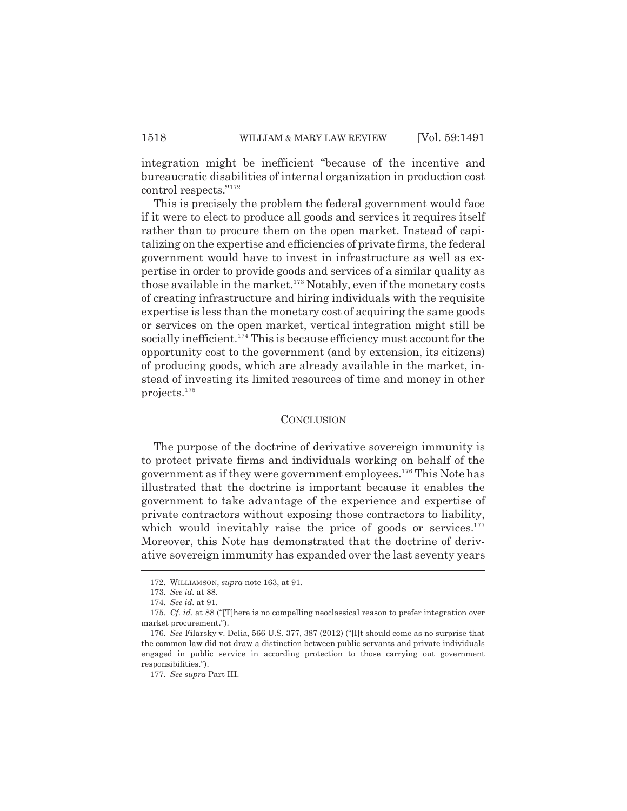integration might be inefficient "because of the incentive and bureaucratic disabilities of internal organization in production cost control respects."172

This is precisely the problem the federal government would face if it were to elect to produce all goods and services it requires itself rather than to procure them on the open market. Instead of capitalizing on the expertise and efficiencies of private firms, the federal government would have to invest in infrastructure as well as expertise in order to provide goods and services of a similar quality as those available in the market.<sup>173</sup> Notably, even if the monetary costs of creating infrastructure and hiring individuals with the requisite expertise is less than the monetary cost of acquiring the same goods or services on the open market, vertical integration might still be socially inefficient.<sup>174</sup> This is because efficiency must account for the opportunity cost to the government (and by extension, its citizens) of producing goods, which are already available in the market, instead of investing its limited resources of time and money in other projects.175

#### **CONCLUSION**

The purpose of the doctrine of derivative sovereign immunity is to protect private firms and individuals working on behalf of the government as if they were government employees.176 This Note has illustrated that the doctrine is important because it enables the government to take advantage of the experience and expertise of private contractors without exposing those contractors to liability, which would inevitably raise the price of goods or services. $177$ Moreover, this Note has demonstrated that the doctrine of derivative sovereign immunity has expanded over the last seventy years

<sup>172.</sup> WILLIAMSON, *supra* note 163, at 91.

<sup>173.</sup> *See id.* at 88.

<sup>174.</sup> *See id.* at 91.

<sup>175.</sup> *Cf. id.* at 88 ("[T]here is no compelling neoclassical reason to prefer integration over market procurement.").

<sup>176.</sup> *See* Filarsky v. Delia, 566 U.S. 377, 387 (2012) ("[I]t should come as no surprise that the common law did not draw a distinction between public servants and private individuals engaged in public service in according protection to those carrying out government responsibilities.").

<sup>177.</sup> *See supra* Part III.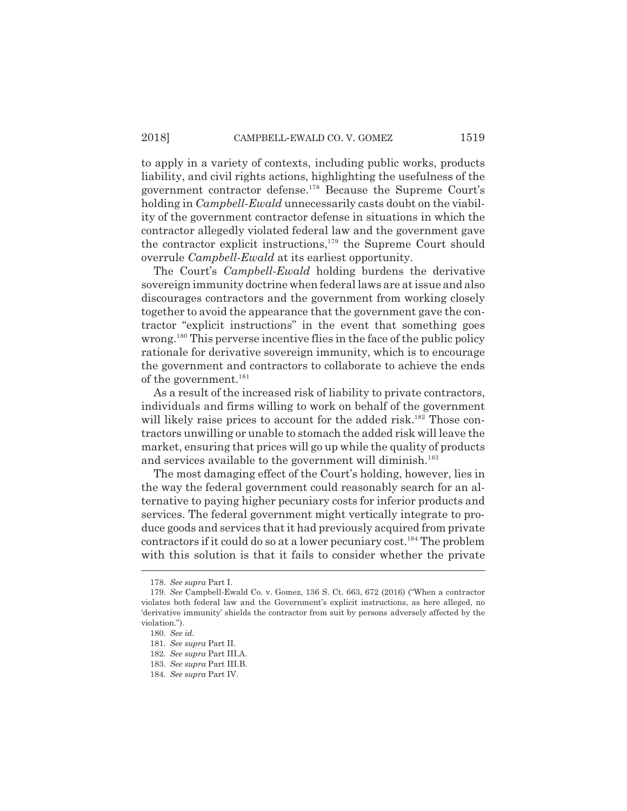to apply in a variety of contexts, including public works, products liability, and civil rights actions, highlighting the usefulness of the government contractor defense.<sup>178</sup> Because the Supreme Court's holding in *Campbell-Ewald* unnecessarily casts doubt on the viability of the government contractor defense in situations in which the contractor allegedly violated federal law and the government gave the contractor explicit instructions, $179$  the Supreme Court should overrule *Campbell-Ewald* at its earliest opportunity.

The Court's *Campbell-Ewald* holding burdens the derivative sovereign immunity doctrine when federal laws are at issue and also discourages contractors and the government from working closely together to avoid the appearance that the government gave the contractor "explicit instructions" in the event that something goes wrong.<sup>180</sup> This perverse incentive flies in the face of the public policy rationale for derivative sovereign immunity, which is to encourage the government and contractors to collaborate to achieve the ends of the government.<sup>181</sup>

As a result of the increased risk of liability to private contractors, individuals and firms willing to work on behalf of the government will likely raise prices to account for the added risk.<sup>182</sup> Those contractors unwilling or unable to stomach the added risk will leave the market, ensuring that prices will go up while the quality of products and services available to the government will diminish.<sup>183</sup>

The most damaging effect of the Court's holding, however, lies in the way the federal government could reasonably search for an alternative to paying higher pecuniary costs for inferior products and services. The federal government might vertically integrate to produce goods and services that it had previously acquired from private contractors if it could do so at a lower pecuniary cost.<sup>184</sup> The problem with this solution is that it fails to consider whether the private

<sup>178.</sup> *See supra* Part I.

<sup>179.</sup> *See* Campbell-Ewald Co. v. Gomez, 136 S. Ct. 663, 672 (2016) ("When a contractor violates both federal law and the Government's explicit instructions, as here alleged, no 'derivative immunity' shields the contractor from suit by persons adversely affected by the violation.").

<sup>180.</sup> *See id.*

<sup>181.</sup> *See supra* Part II.

<sup>182.</sup> *See supra* Part III.A.

<sup>183.</sup> *See supra* Part III.B.

<sup>184.</sup> *See supra* Part IV.